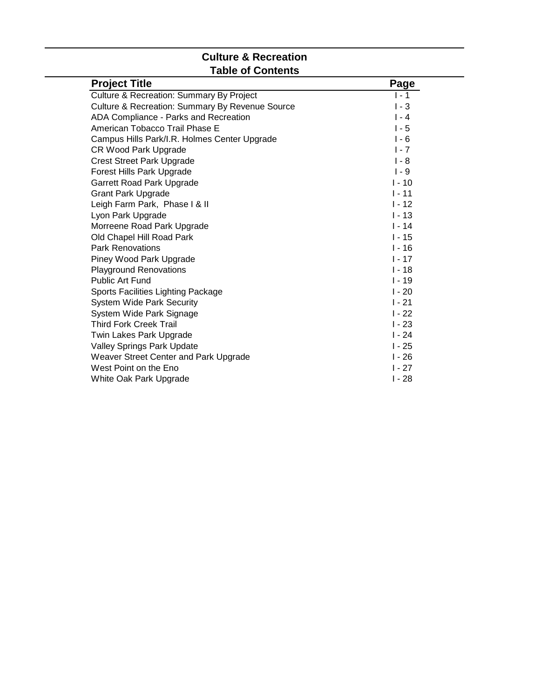# **Culture & Recreation Table of Contents**

| <b>Project Title</b>                            | Page     |
|-------------------------------------------------|----------|
| Culture & Recreation: Summary By Project        | $1 - 1$  |
| Culture & Recreation: Summary By Revenue Source | $1 - 3$  |
| ADA Compliance - Parks and Recreation           | $1 - 4$  |
| American Tobacco Trail Phase E                  | $1 - 5$  |
| Campus Hills Park/I.R. Holmes Center Upgrade    | $1 - 6$  |
| <b>CR Wood Park Upgrade</b>                     | $1 - 7$  |
| <b>Crest Street Park Upgrade</b>                | $I - 8$  |
| Forest Hills Park Upgrade                       | $1 - 9$  |
| <b>Garrett Road Park Upgrade</b>                | $1 - 10$ |
| <b>Grant Park Upgrade</b>                       | $1 - 11$ |
| Leigh Farm Park, Phase I & II                   | $1 - 12$ |
| Lyon Park Upgrade                               | $1 - 13$ |
| Morreene Road Park Upgrade                      | $1 - 14$ |
| Old Chapel Hill Road Park                       | $I - 15$ |
| <b>Park Renovations</b>                         | $1 - 16$ |
| Piney Wood Park Upgrade                         | $1 - 17$ |
| <b>Playground Renovations</b>                   | $1 - 18$ |
| <b>Public Art Fund</b>                          | $1 - 19$ |
| Sports Facilities Lighting Package              | $1 - 20$ |
| <b>System Wide Park Security</b>                | $1 - 21$ |
| System Wide Park Signage                        | $1 - 22$ |
| <b>Third Fork Creek Trail</b>                   | $1 - 23$ |
| Twin Lakes Park Upgrade                         | $1 - 24$ |
| Valley Springs Park Update                      | $1 - 25$ |
| Weaver Street Center and Park Upgrade           | $1 - 26$ |
| West Point on the Eno                           | $1 - 27$ |
| White Oak Park Upgrade                          | $1 - 28$ |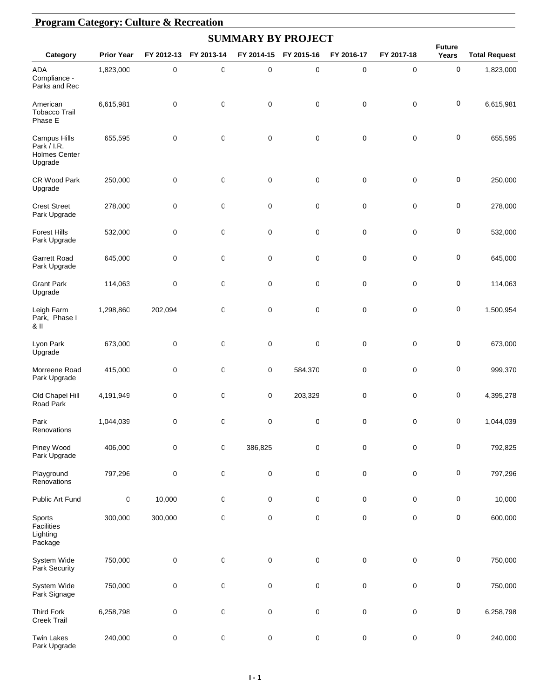|                                                                |                   |             |              | <b>SUMMARY BY PROJECT</b> |                  |            |             |                        |                      |
|----------------------------------------------------------------|-------------------|-------------|--------------|---------------------------|------------------|------------|-------------|------------------------|----------------------|
| Category                                                       | <b>Prior Year</b> | FY 2012-13  | FY 2013-14   | FY 2014-15                | FY 2015-16       | FY 2016-17 | FY 2017-18  | <b>Future</b><br>Years | <b>Total Request</b> |
| ADA<br>Compliance -<br>Parks and Rec                           | 1,823,000         | $\pmb{0}$   | $\mathbb{C}$ | $\mathbf 0$               | 0                | $\pmb{0}$  | $\mathbf 0$ | 0                      | 1,823,000            |
| American<br><b>Tobacco Trail</b><br>Phase E                    | 6,615,981         | 0           | O            | $\pmb{0}$                 | 0                | 0          | 0           | 0                      | 6,615,981            |
| Campus Hills<br>Park / I.R.<br><b>Holmes Center</b><br>Upgrade | 655,595           | $\mathbf 0$ | O            | $\pmb{0}$                 | 0                | 0          | 0           | $\pmb{0}$              | 655,595              |
| CR Wood Park<br>Upgrade                                        | 250,000           | 0           | O            | $\pmb{0}$                 | 0                | 0          | 0           | 0                      | 250,000              |
| <b>Crest Street</b><br>Park Upgrade                            | 278,000           | 0           | 0            | $\pmb{0}$                 | 0                | 0          | 0           | 0                      | 278,000              |
| <b>Forest Hills</b><br>Park Upgrade                            | 532,000           | 0           | O            | $\pmb{0}$                 | 0                | 0          | 0           | 0                      | 532,000              |
| <b>Garrett Road</b><br>Park Upgrade                            | 645,000           | 0           | 0            | $\mathbf 0$               | 0                | 0          | 0           | 0                      | 645,000              |
| <b>Grant Park</b><br>Upgrade                                   | 114,063           | $\mathbf 0$ | O            | $\pmb{0}$                 | 0                | 0          | 0           | 0                      | 114,063              |
| Leigh Farm<br>Park, Phase I<br>& II                            | 1,298,860         | 202,094     | O            | $\pmb{0}$                 | 0                | 0          | 0           | 0                      | 1,500,954            |
| Lyon Park<br>Upgrade                                           | 673,000           | 0           | O            | $\pmb{0}$                 | $\mathsf 0$      | 0          | 0           | 0                      | 673,000              |
| Morreene Road<br>Park Upgrade                                  | 415,000           | 0           | 0            | $\pmb{0}$                 | 584,370          | 0          | 0           | 0                      | 999,370              |
| Old Chapel Hill<br>Road Park                                   | 4,191,949         | 0           | O            | 0                         | 203,329          | 0          | 0           | 0                      | 4,395,278            |
| Park<br>Renovations                                            | 1,044,039         | $\pmb{0}$   | $\mathsf 0$  | $\pmb{0}$                 | $\mathsf 0$      | $\pmb{0}$  | $\pmb{0}$   | 0                      | 1,044,039            |
| Piney Wood<br>Park Upgrade                                     | 406,000           | $\pmb{0}$   | $\mathsf{C}$ | 386,825                   | 0                | 0          | $\mathbf 0$ | $\pmb{0}$              | 792,825              |
| Playground<br>Renovations                                      | 797,296           | 0           | $\mathbf 0$  | $\pmb{0}$                 | $\mathsf 0$      | $\pmb{0}$  | $\mathbf 0$ | $\pmb{0}$              | 797,296              |
| Public Art Fund                                                | $\mathbf 0$       | 10,000      | $\mathsf 0$  | $\pmb{0}$                 | $\mathsf 0$      | 0          | $\mathbf 0$ | 0                      | 10,000               |
| Sports<br>Facilities<br>Lighting<br>Package                    | 300,000           | 300,000     | $\mathsf 0$  | $\pmb{0}$                 | $\mathsf 0$      | $\pmb{0}$  | $\mathbf 0$ | 0                      | 600,000              |
| System Wide<br>Park Security                                   | 750,000           | 0           | $\mathsf 0$  | $\pmb{0}$                 | $\mathsf 0$      | $\pmb{0}$  | $\mathbf 0$ | 0                      | 750,000              |
| System Wide<br>Park Signage                                    | 750,000           | 0           | 0            | $\pmb{0}$                 | $\mathsf 0$      | 0          | 0           | $\pmb{0}$              | 750,000              |
| <b>Third Fork</b><br>Creek Trail                               | 6,258,798         | $\pmb{0}$   | $\mathsf 0$  | $\pmb{0}$                 | $\mathsf 0$      | 0          | $\mathbf 0$ | 0                      | 6,258,798            |
| <b>Twin Lakes</b><br>Park Upgrade                              | 240,000           | $\pmb{0}$   | O            | $\pmb{0}$                 | $\boldsymbol{0}$ | 0          | 0           | $\pmb{0}$              | 240,000              |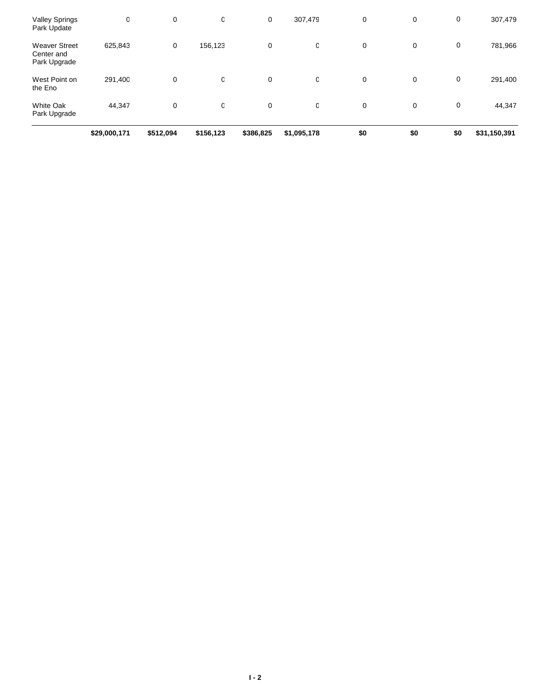|                                                    | \$29,000,171 | \$512,094 | \$156,123 | \$386,825 | \$1,095,178 | \$0 | \$0         | \$0 | \$31,150,391 |
|----------------------------------------------------|--------------|-----------|-----------|-----------|-------------|-----|-------------|-----|--------------|
| White Oak<br>Park Upgrade                          | 44,347       | 0         | O         | 0         | 0           | 0   | $\mathbf 0$ | 0   | 44,347       |
| West Point on<br>the Eno                           | 291,400      | 0         | O         | 0         | 0           | 0   | $\mathbf 0$ | 0   | 291,400      |
| <b>Weaver Street</b><br>Center and<br>Park Upgrade | 625,843      | 0         | 156,123   | 0         | 0           | 0   | $\mathbf 0$ | 0   | 781,966      |
| <b>Valley Springs</b><br>Park Update               | 0            | 0         | O         | 0         | 307,479     | 0   | 0           | 0   | 307,479      |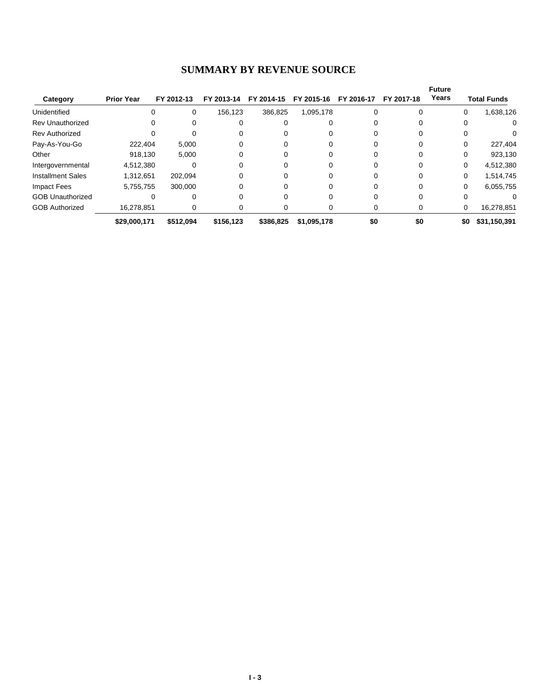#### **SUMMARY BY REVENUE SOURCE**

| Category                 | <b>Prior Year</b> | FY 2012-13 | FY 2013-14 | FY 2014-15 | FY 2015-16  | FY 2016-17 | FY 2017-18 | <b>Future</b><br>Years | <b>Total Funds</b>    |
|--------------------------|-------------------|------------|------------|------------|-------------|------------|------------|------------------------|-----------------------|
|                          |                   |            |            |            |             |            |            |                        |                       |
| Unidentified             | $\Omega$          | 0          | 156,123    | 386,825    | 1,095,178   |            |            |                        | 1,638,126<br>0        |
| <b>Rev Unauthorized</b>  | $\Omega$          |            | 0          |            |             |            |            |                        | 0<br>0                |
| <b>Rev Authorized</b>    |                   |            | 0          |            |             |            |            |                        | 0<br>0                |
| Pay-As-You-Go            | 222,404           | 5,000      | 0          |            |             |            |            |                        | 227,404<br>0          |
| Other                    | 918.130           | 5,000      | 0          |            |             |            |            |                        | 923,130<br>0          |
| Intergovernmental        | 4,512,380         |            | 0          |            |             |            |            |                        | 4,512,380<br>$\Omega$ |
| <b>Installment Sales</b> | 1.312.651         | 202.094    | 0          |            |             |            |            |                        | 1,514,745<br>$\Omega$ |
| <b>Impact Fees</b>       | 5,755,755         | 300,000    | 0          | 0          |             |            |            |                        | 6,055,755<br>$\Omega$ |
| <b>GOB Unauthorized</b>  | 0                 |            | 0          |            |             |            |            |                        |                       |
| <b>GOB Authorized</b>    | 16.278.851        | 0          | 0          |            | O           |            |            |                        | 16,278,851<br>0       |
|                          | \$29,000,171      | \$512,094  | \$156,123  | \$386,825  | \$1,095,178 | \$0        | \$0        |                        | \$0<br>\$31,150,391   |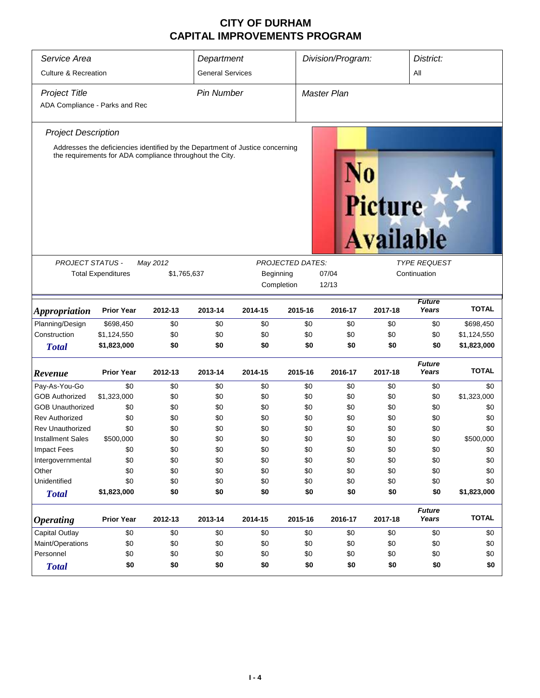| Service Area<br>Department                             |                           |                                                                                                                                           |                                                                                     |         |         | Division/Program:<br>District: |                             |                        |              |
|--------------------------------------------------------|---------------------------|-------------------------------------------------------------------------------------------------------------------------------------------|-------------------------------------------------------------------------------------|---------|---------|--------------------------------|-----------------------------|------------------------|--------------|
| <b>Culture &amp; Recreation</b>                        |                           |                                                                                                                                           | <b>General Services</b>                                                             |         |         |                                |                             | All                    |              |
| <b>Project Title</b><br>ADA Compliance - Parks and Rec |                           |                                                                                                                                           | <b>Pin Number</b>                                                                   |         |         | <b>Master Plan</b>             |                             |                        |              |
| <b>Project Description</b>                             |                           |                                                                                                                                           |                                                                                     |         |         |                                |                             |                        |              |
|                                                        |                           | Addresses the deficiencies identified by the Department of Justice concerning<br>the requirements for ADA compliance throughout the City. |                                                                                     |         |         |                                | Picture<br><b>Available</b> |                        |              |
| <b>PROJECT STATUS -</b>                                |                           |                                                                                                                                           |                                                                                     |         |         |                                |                             | <b>TYPE REQUEST</b>    |              |
|                                                        | <b>Total Expenditures</b> | May 2012                                                                                                                                  | <b>PROJECTED DATES:</b><br>\$1,765,637<br>Beginning<br>07/04<br>Completion<br>12/13 |         |         |                                |                             | Continuation           |              |
| <b>Appropriation</b>                                   | <b>Prior Year</b>         | 2012-13                                                                                                                                   | 2013-14                                                                             | 2014-15 | 2015-16 | 2016-17                        | 2017-18                     | <b>Future</b><br>Years | <b>TOTAL</b> |
| Planning/Design                                        | \$698,450                 | \$0                                                                                                                                       | \$0                                                                                 | \$0     | \$0     | \$0                            | \$0                         | \$0                    | \$698,450    |
| Construction                                           | \$1,124,550               | \$0                                                                                                                                       | \$0                                                                                 | \$0     | \$0     | \$0                            | \$0                         | \$0                    | \$1,124,550  |
| <b>Total</b>                                           | \$1,823,000               | \$0                                                                                                                                       | \$0                                                                                 | \$0     | \$0     | \$0                            | \$0                         | \$0                    | \$1,823,000  |
| Revenue                                                | <b>Prior Year</b>         | 2012-13                                                                                                                                   | 2013-14                                                                             | 2014-15 | 2015-16 | 2016-17                        | 2017-18                     | <b>Future</b><br>Years | <b>TOTAL</b> |
| Pay-As-You-Go                                          | \$0                       | \$0                                                                                                                                       | \$0                                                                                 | \$0     | \$0     | \$0                            | \$0                         | \$0                    | \$0          |
| <b>GOB Authorized</b>                                  | \$1,323,000               | \$0                                                                                                                                       | \$0                                                                                 | \$0     | \$0     | \$0                            | \$0                         | \$0                    | \$1,323,000  |
| <b>GOB Unauthorized</b>                                | \$0                       | \$0                                                                                                                                       | \$0                                                                                 | \$0     | \$0     | \$0                            | \$0                         | \$0                    | \$0          |
| <b>Rev Authorized</b>                                  | \$0                       | \$0                                                                                                                                       | \$0                                                                                 | \$0     | \$0     | \$0                            | \$0                         | \$0                    | \$0          |
| <b>Rev Unauthorized</b>                                | \$0                       | \$0                                                                                                                                       | \$0                                                                                 | \$0     | \$0     | \$0                            | \$0                         | \$0                    | \$0          |
| <b>Installment Sales</b>                               | \$500,000                 | \$0                                                                                                                                       | \$0                                                                                 | \$0     | \$0     | \$0                            | \$0                         | \$0                    | \$500,000    |
| Impact Fees                                            | \$0                       | \$0                                                                                                                                       | \$0                                                                                 | \$0     | \$0     | \$0                            | \$0                         | \$0                    | \$0          |
| Intergovernmental                                      | \$0                       | \$0                                                                                                                                       | \$0                                                                                 | \$0     | \$0     | \$0                            | \$0                         | \$0                    | \$0          |
| Other                                                  | \$0                       | \$0                                                                                                                                       | \$0                                                                                 | \$0     | \$0     | \$0                            | \$0                         | \$0                    | \$0          |
| Unidentified                                           | \$0                       | \$0                                                                                                                                       | \$0                                                                                 | \$0     | \$0     | \$0                            | \$0                         | \$0                    | \$0          |
| <b>Total</b>                                           | \$1,823,000               | \$0                                                                                                                                       | \$0                                                                                 | \$0     | \$0     | \$0                            | \$0                         | \$0                    | \$1,823,000  |
| <b>Operating</b>                                       | <b>Prior Year</b>         | 2012-13                                                                                                                                   | 2013-14                                                                             | 2014-15 | 2015-16 | 2016-17                        | 2017-18                     | <b>Future</b><br>Years | <b>TOTAL</b> |
| <b>Capital Outlay</b>                                  | \$0                       | \$0                                                                                                                                       | \$0                                                                                 | \$0     | \$0     | \$0                            | \$0                         | \$0                    | \$0          |
| Maint/Operations                                       | \$0                       | \$0                                                                                                                                       | \$0                                                                                 | \$0     | \$0     | \$0                            | \$0                         | \$0                    | \$0          |
| Personnel                                              | \$0                       | \$0                                                                                                                                       | \$0                                                                                 | \$0     | \$0     | \$0                            | \$0                         | \$0                    | \$0          |
| <b>Total</b>                                           | \$0                       | \$0                                                                                                                                       | \$0                                                                                 | \$0     | \$0     | \$0                            | \$0                         | \$0                    | \$0          |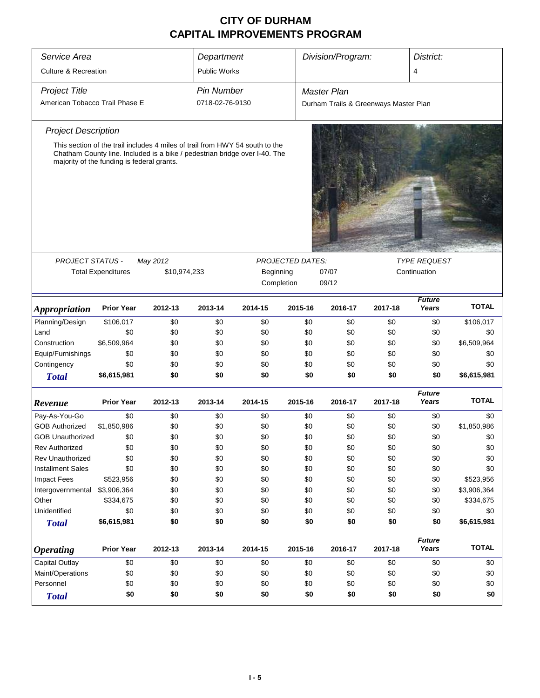| Service Area                    |                                                                                                                          |              | Department                         |         |                         | Division/Program:                     |         | District:              |              |
|---------------------------------|--------------------------------------------------------------------------------------------------------------------------|--------------|------------------------------------|---------|-------------------------|---------------------------------------|---------|------------------------|--------------|
| <b>Culture &amp; Recreation</b> |                                                                                                                          |              | <b>Public Works</b>                |         |                         |                                       |         | 4                      |              |
| <b>Project Title</b>            |                                                                                                                          |              | <b>Pin Number</b>                  |         |                         | <b>Master Plan</b>                    |         |                        |              |
| American Tobacco Trail Phase E  |                                                                                                                          |              | 0718-02-76-9130                    |         |                         | Durham Trails & Greenways Master Plan |         |                        |              |
| <b>Project Description</b>      |                                                                                                                          |              |                                    |         |                         |                                       |         |                        |              |
|                                 | This section of the trail includes 4 miles of trail from HWY 54 south to the                                             |              |                                    |         |                         |                                       |         |                        |              |
|                                 | Chatham County line. Included is a bike / pedestrian bridge over I-40. The<br>majority of the funding is federal grants. |              |                                    |         |                         |                                       |         |                        |              |
|                                 |                                                                                                                          |              |                                    |         |                         |                                       |         |                        |              |
| PROJECT STATUS -                |                                                                                                                          | May 2012     |                                    |         | <b>PROJECTED DATES:</b> |                                       |         | <b>TYPE REQUEST</b>    |              |
|                                 | <b>Total Expenditures</b>                                                                                                | \$10,974,233 | Beginning<br>07/07<br>Continuation |         |                         |                                       |         |                        |              |
|                                 |                                                                                                                          |              |                                    |         | Completion              | 09/12                                 |         |                        |              |
| <i><b>Appropriation</b></i>     | <b>Prior Year</b>                                                                                                        | 2012-13      | 2013-14                            | 2014-15 | 2015-16                 | 2016-17                               | 2017-18 | <b>Future</b><br>Years | <b>TOTAL</b> |
| Planning/Design                 | \$106,017                                                                                                                | \$0          | \$0                                | \$0     | \$0                     | \$0                                   | \$0     | \$0                    | \$106,017    |
| Land                            | \$0                                                                                                                      | \$0          | \$0                                | \$0     | \$0                     | \$0                                   | \$0     | \$0                    | \$0          |
| Construction                    | \$6,509,964                                                                                                              | \$0          | \$0                                | \$0     | \$0                     | \$0                                   | \$0     | \$0                    | \$6,509,964  |
| Equip/Furnishings               | \$0                                                                                                                      | \$0          | \$0                                | \$0     | \$0                     | \$0                                   | \$0     | \$0                    | \$0          |
| Contingency                     | \$0                                                                                                                      | \$0          | \$0                                | \$0     | \$0                     | \$0                                   | \$0     | \$0                    | \$0          |
| <b>Total</b>                    | \$6,615,981                                                                                                              | \$0          | \$0                                | \$0     | \$0                     | \$0                                   | \$0     | \$0                    | \$6,615,981  |
| Revenue                         | <b>Prior Year</b>                                                                                                        | 2012-13      | 2013-14                            | 2014-15 | 2015-16                 | 2016-17                               | 2017-18 | <b>Future</b><br>Years | <b>TOTAL</b> |
| Pay-As-You-Go                   | \$0                                                                                                                      | \$0          | \$0                                | \$0     | \$0                     | \$0                                   | \$0     | \$0                    | \$0          |
| <b>GOB Authorized</b>           | \$1,850,986                                                                                                              | \$0          | \$0                                | \$0     | \$0                     | \$0                                   | \$0     | \$0                    | \$1,850,986  |
| <b>GOB Unauthorized</b>         | \$0                                                                                                                      | \$0          | \$0                                | \$0     | \$0                     | \$0                                   | \$0     | \$0                    | \$0          |
| <b>Rev Authorized</b>           | \$0                                                                                                                      | \$0          | \$0                                | \$0     | \$0                     | \$0                                   | \$0     | \$0                    | \$0          |
| <b>Rev Unauthorized</b>         | \$0                                                                                                                      | \$0          | \$0                                | \$0     | \$0                     | \$0                                   | \$0     | \$0                    | \$0          |
| <b>Installment Sales</b>        | \$0                                                                                                                      | \$0          | \$0                                | \$0     | \$0                     | \$0                                   | \$0     | \$0                    | \$0          |
| <b>Impact Fees</b>              | \$523,956                                                                                                                | \$0          | \$0                                | \$0     | \$0                     | \$0                                   | \$0     | \$0                    | \$523,956    |
| Intergovernmental               | \$3,906,364                                                                                                              | \$0          | \$0                                | \$0     | \$0                     | \$0                                   | \$0     | \$0                    | \$3,906,364  |
| Other                           | \$334,675                                                                                                                | \$0          | \$0                                | \$0     | \$0                     | \$0                                   | \$0     | \$0                    | \$334,675    |
| Unidentified                    | \$0                                                                                                                      | \$0          | \$0                                | \$0     | \$0                     | \$0                                   | \$0     | \$0                    | \$0          |
| <b>Total</b>                    | \$6,615,981                                                                                                              | \$0          | \$0                                | \$0     | \$0                     | \$0                                   | \$0     | \$0                    | \$6,615,981  |
| <b>Operating</b>                | <b>Prior Year</b>                                                                                                        | 2012-13      | 2013-14                            | 2014-15 | 2015-16                 | 2016-17                               | 2017-18 | <b>Future</b><br>Years | <b>TOTAL</b> |
| Capital Outlay                  | \$0                                                                                                                      | \$0          | \$0                                | \$0     | \$0                     | \$0                                   | \$0     | \$0                    | \$0          |
| Maint/Operations                | \$0                                                                                                                      | \$0          | \$0                                | \$0     | \$0                     | \$0                                   | \$0     | \$0                    | \$0          |
| Personnel                       | \$0                                                                                                                      | \$0          | \$0                                | \$0     | \$0                     | \$0                                   | \$0     | \$0                    | \$0          |
| <b>Total</b>                    | \$0                                                                                                                      | \$0          | \$0                                | \$0     | \$0                     | \$0                                   | \$0     | \$0                    | \$0          |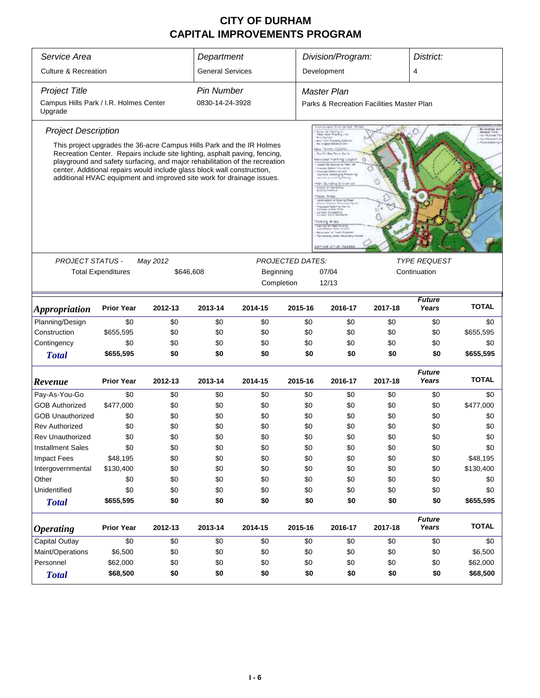| Service Area                                      |                                                                         |            | Department              |                                                                                                                                                                                                                                                                                                             |                                                | Division/Program:                         |            | District:              |                  |  |
|---------------------------------------------------|-------------------------------------------------------------------------|------------|-------------------------|-------------------------------------------------------------------------------------------------------------------------------------------------------------------------------------------------------------------------------------------------------------------------------------------------------------|------------------------------------------------|-------------------------------------------|------------|------------------------|------------------|--|
| <b>Culture &amp; Recreation</b>                   |                                                                         |            | <b>General Services</b> |                                                                                                                                                                                                                                                                                                             |                                                | Development                               |            | $\overline{4}$         |                  |  |
| <b>Project Title</b>                              |                                                                         |            | <b>Pin Number</b>       |                                                                                                                                                                                                                                                                                                             |                                                | Master Plan                               |            |                        |                  |  |
|                                                   |                                                                         |            |                         |                                                                                                                                                                                                                                                                                                             |                                                |                                           |            |                        |                  |  |
| Campus Hills Park / I.R. Holmes Center<br>Upgrade |                                                                         |            | 0830-14-24-3928         |                                                                                                                                                                                                                                                                                                             |                                                | Parks & Recreation Facilities Master Plan |            |                        |                  |  |
| <b>Project Description</b>                        |                                                                         |            |                         |                                                                                                                                                                                                                                                                                                             |                                                |                                           |            |                        |                  |  |
|                                                   | center. Additional repairs would include glass block wall construction, |            |                         | This project upgrades the 36-acre Campus Hills Park and the IR Holmes<br>Recreation Center. Repairs include site lighting, asphalt paving, fencing,<br>playground and safety surfacing, and major rehabilitation of the recreation<br>additional HVAC equipment and improved site work for drainage issues. |                                                |                                           |            |                        |                  |  |
|                                                   |                                                                         |            |                         |                                                                                                                                                                                                                                                                                                             |                                                |                                           |            |                        |                  |  |
| <b>PROJECT STATUS -</b>                           |                                                                         | May 2012   |                         |                                                                                                                                                                                                                                                                                                             | <b>TYPE REQUEST</b><br><b>PROJECTED DATES:</b> |                                           |            |                        |                  |  |
|                                                   | <b>Total Expenditures</b>                                               | \$646,608  |                         | Beginning                                                                                                                                                                                                                                                                                                   |                                                | 07/04<br>Continuation                     |            |                        |                  |  |
|                                                   |                                                                         |            |                         |                                                                                                                                                                                                                                                                                                             | Completion                                     | 12/13                                     |            |                        |                  |  |
|                                                   | <b>Prior Year</b>                                                       | 2012-13    | 2013-14                 | 2014-15                                                                                                                                                                                                                                                                                                     | 2015-16                                        | 2016-17                                   | 2017-18    | <b>Future</b><br>Years | <b>TOTAL</b>     |  |
| <i><b>Appropriation</b></i>                       |                                                                         |            |                         |                                                                                                                                                                                                                                                                                                             |                                                |                                           |            |                        |                  |  |
| Planning/Design                                   | \$0                                                                     | \$0        | \$0                     | \$0                                                                                                                                                                                                                                                                                                         | \$0<br>\$0                                     | \$0                                       | \$0        | \$0                    | \$0              |  |
| Construction<br>Contingency                       | \$655,595<br>\$0                                                        | \$0<br>\$0 | \$0<br>\$0              | \$0<br>\$0                                                                                                                                                                                                                                                                                                  | \$0                                            | \$0<br>\$0                                | \$0<br>\$0 | \$0<br>\$0             | \$655,595<br>\$0 |  |
|                                                   | \$655,595                                                               | \$0        | \$0                     | \$0                                                                                                                                                                                                                                                                                                         | \$0                                            | \$0                                       | \$0        | \$0                    | \$655,595        |  |
| <b>Total</b>                                      |                                                                         |            |                         |                                                                                                                                                                                                                                                                                                             |                                                |                                           |            |                        |                  |  |
| Revenue                                           | <b>Prior Year</b>                                                       | 2012-13    | 2013-14                 | 2014-15                                                                                                                                                                                                                                                                                                     | 2015-16                                        | 2016-17                                   | 2017-18    | <b>Future</b><br>Years | <b>TOTAL</b>     |  |
| Pay-As-You-Go                                     | \$0                                                                     | \$0        | \$0                     | \$0                                                                                                                                                                                                                                                                                                         | \$0                                            | \$0                                       | \$0        | \$0                    | \$0              |  |
| <b>GOB Authorized</b>                             | \$477,000                                                               | \$0        | \$0                     | \$0                                                                                                                                                                                                                                                                                                         | \$0                                            | \$0                                       | \$0        | \$0                    | \$477,000        |  |
| <b>GOB Unauthorized</b>                           | \$0                                                                     | \$0        | \$0                     | \$0                                                                                                                                                                                                                                                                                                         | \$0                                            | \$0                                       | \$0        | \$0                    | \$0              |  |
| <b>Rev Authorized</b>                             | \$0                                                                     | \$0        | \$0                     | \$0                                                                                                                                                                                                                                                                                                         | \$0                                            | \$0                                       | \$0        | \$0                    | \$0              |  |
| Rev Unauthorized                                  | \$0                                                                     | \$0        | \$0                     | \$0                                                                                                                                                                                                                                                                                                         | \$0                                            | \$0                                       | \$0        | \$0                    | \$0              |  |
| <b>Installment Sales</b>                          | \$0                                                                     | \$0        | \$0                     | \$0                                                                                                                                                                                                                                                                                                         | \$0                                            | \$0                                       | \$0        | \$0                    | \$0              |  |
| <b>Impact Fees</b>                                | \$48,195                                                                | \$0        | \$0                     | \$0                                                                                                                                                                                                                                                                                                         | \$0                                            | \$0                                       | \$0        | \$0                    | \$48,195         |  |
| Intergovernmental                                 | \$130,400                                                               | \$0        | \$0                     | \$0                                                                                                                                                                                                                                                                                                         | \$0                                            | \$0                                       | \$0        | \$0                    | \$130,400        |  |
| Other                                             | \$0                                                                     | \$0        | \$0                     | \$0                                                                                                                                                                                                                                                                                                         | \$0                                            | \$0                                       | \$0        | \$0                    | \$0              |  |
| Unidentified                                      | \$0                                                                     | \$0        | \$0                     | \$0                                                                                                                                                                                                                                                                                                         | \$0                                            | \$0                                       | \$0        | \$0                    | \$0              |  |
| <b>Total</b>                                      | \$655,595                                                               | \$0        | \$0                     | \$0                                                                                                                                                                                                                                                                                                         | \$0                                            | \$0                                       | \$0        | \$0                    | \$655,595        |  |
| <b>Operating</b>                                  | <b>Prior Year</b>                                                       | 2012-13    | 2013-14                 | 2014-15                                                                                                                                                                                                                                                                                                     | 2015-16                                        | 2016-17                                   | 2017-18    | <b>Future</b><br>Years | <b>TOTAL</b>     |  |
| Capital Outlay                                    | \$0                                                                     | \$0        | \$0                     | \$0                                                                                                                                                                                                                                                                                                         | \$0                                            | \$0                                       | \$0        | \$0                    | \$0              |  |
| Maint/Operations                                  | \$6,500                                                                 | \$0        | \$0                     | \$0                                                                                                                                                                                                                                                                                                         | \$0                                            | \$0                                       | \$0        | \$0                    | \$6,500          |  |
| Personnel                                         | \$62,000                                                                | \$0        | \$0                     | \$0                                                                                                                                                                                                                                                                                                         | \$0                                            | \$0                                       | \$0        | \$0                    | \$62,000         |  |
| <b>Total</b>                                      | \$68,500                                                                | \$0        | \$0                     | \$0                                                                                                                                                                                                                                                                                                         | \$0                                            | \$0                                       | \$0        | \$0                    | \$68,500         |  |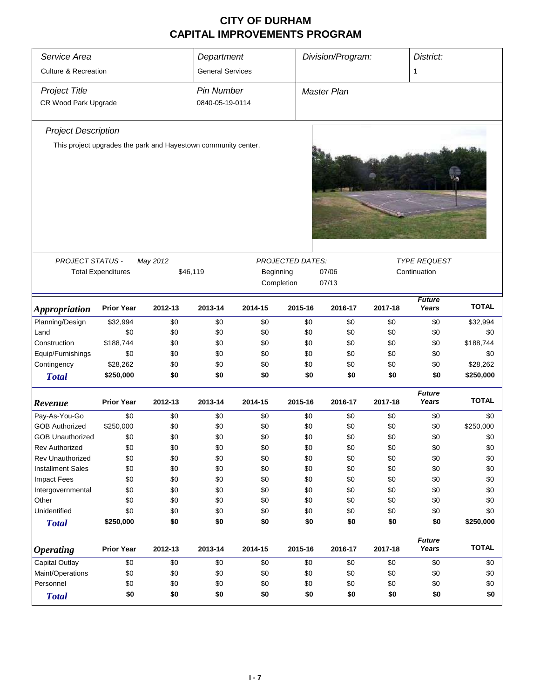| Division/Program:<br>Service Area<br>Department<br>District: |                                                                |          |                         |           |                  |             |         |                        |              |  |
|--------------------------------------------------------------|----------------------------------------------------------------|----------|-------------------------|-----------|------------------|-------------|---------|------------------------|--------------|--|
| <b>Culture &amp; Recreation</b>                              |                                                                |          | <b>General Services</b> |           |                  |             |         | 1                      |              |  |
| <b>Project Title</b>                                         |                                                                |          | <b>Pin Number</b>       |           |                  | Master Plan |         |                        |              |  |
| CR Wood Park Upgrade                                         |                                                                |          | 0840-05-19-0114         |           |                  |             |         |                        |              |  |
| <b>Project Description</b>                                   |                                                                |          |                         |           |                  |             |         |                        |              |  |
|                                                              | This project upgrades the park and Hayestown community center. |          |                         |           |                  |             |         |                        |              |  |
|                                                              |                                                                |          |                         |           |                  |             |         |                        |              |  |
| <b>PROJECT STATUS -</b>                                      |                                                                | May 2012 |                         |           | PROJECTED DATES: |             |         | <b>TYPE REQUEST</b>    |              |  |
|                                                              | <b>Total Expenditures</b>                                      |          | \$46,119                | Beginning |                  | 07/06       |         | Continuation           |              |  |
|                                                              |                                                                |          |                         |           | Completion       | 07/13       |         |                        |              |  |
|                                                              |                                                                |          |                         |           |                  |             |         | <b>Future</b>          |              |  |
| <b>Appropriation</b>                                         | <b>Prior Year</b>                                              | 2012-13  | 2013-14                 | 2014-15   | 2015-16          | 2016-17     | 2017-18 | Years                  | <b>TOTAL</b> |  |
| Planning/Design                                              | \$32,994                                                       | \$0      | \$0                     | \$0       | \$0              | \$0         | \$0     | \$0                    | \$32,994     |  |
| Land                                                         | \$0                                                            | \$0      | \$0                     | \$0       | \$0              | \$0         | \$0     | \$0                    | \$0          |  |
| Construction                                                 | \$188,744                                                      | \$0      | \$0                     | \$0       | \$0              | \$0         | \$0     | \$0                    | \$188,744    |  |
| Equip/Furnishings                                            | \$0                                                            | \$0      | \$0                     | \$0       | \$0              | \$0         | \$0     | \$0                    | \$0          |  |
| Contingency                                                  | \$28,262                                                       | \$0      | \$0                     | \$0       | \$0              | \$0         | \$0     | \$0                    | \$28,262     |  |
| <b>Total</b>                                                 | \$250,000                                                      | \$0      | \$0                     | \$0       | \$0              | \$0         | \$0     | \$0                    | \$250,000    |  |
| Revenue                                                      | <b>Prior Year</b>                                              | 2012-13  | 2013-14                 | 2014-15   | 2015-16          | 2016-17     | 2017-18 | <b>Future</b><br>Years | <b>TOTAL</b> |  |
| Pay-As-You-Go                                                | \$0                                                            | \$0      | \$0                     | \$0       | \$0              | \$0         | \$0     | \$0                    | \$0          |  |
| <b>GOB Authorized</b>                                        | \$250,000                                                      | \$0      | \$0                     | \$0       | \$0              | \$0         | \$0     | \$0                    | \$250,000    |  |
| <b>GOB Unauthorized</b>                                      | \$0                                                            | \$0      | \$0                     | \$0       | \$0              | \$0         | \$0     | \$0                    | \$0          |  |
| <b>Rev Authorized</b>                                        | \$0                                                            | \$0      | \$0                     | \$0       | \$0              | \$0         | \$0     | \$0                    | \$0          |  |
| Rev Unauthorized                                             | \$0                                                            | \$0      | \$0                     | \$0       | \$0              | \$0         | \$0     | \$0                    | \$0          |  |
| <b>Installment Sales</b>                                     | \$0                                                            | \$0      | \$0                     | \$0       | \$0              | \$0         | \$0     | \$0                    | \$0          |  |
| <b>Impact Fees</b>                                           | \$0                                                            | \$0      | \$0                     | \$0       | \$0              | \$0         | \$0     | \$0                    | \$0          |  |
| Intergovernmental                                            | \$0                                                            | \$0      | \$0                     | \$0       | \$0              | \$0         | \$0     | \$0                    | \$0          |  |
| Other                                                        | \$0                                                            | \$0      | \$0                     | \$0       | \$0              | \$0         | \$0     | \$0                    | \$0          |  |
| Unidentified                                                 | \$0                                                            | \$0      | \$0                     | \$0       | \$0              | \$0         | \$0     | \$0                    | \$0          |  |
| <b>Total</b>                                                 | \$250,000                                                      | \$0      | \$0                     | \$0       | \$0              | \$0         | \$0     | \$0                    | \$250,000    |  |
| <b>Operating</b>                                             | <b>Prior Year</b>                                              | 2012-13  | 2013-14                 | 2014-15   | 2015-16          | 2016-17     | 2017-18 | <b>Future</b><br>Years | <b>TOTAL</b> |  |
| Capital Outlay                                               | \$0                                                            | \$0      | \$0                     | \$0       | \$0              | \$0         | \$0     | \$0                    | \$0          |  |
| Maint/Operations                                             | \$0                                                            | \$0      | \$0                     | \$0       | \$0              | \$0         | \$0     | \$0                    | \$0          |  |
| Personnel                                                    | \$0                                                            | \$0      | \$0                     | \$0       | \$0              | \$0         | \$0     | \$0                    | \$0          |  |
| <b>Total</b>                                                 | \$0                                                            | \$0      | \$0                     | \$0       | \$0              | \$0         | \$0     | \$0                    | \$0          |  |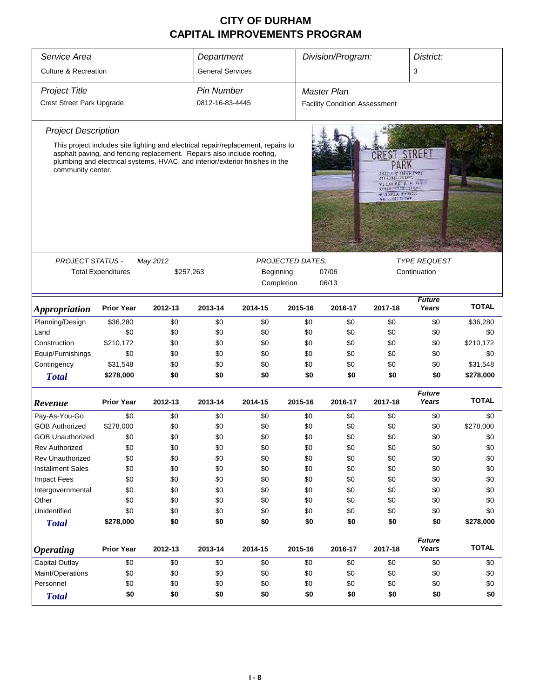| Service Area                    | Division/Program:<br>District:<br>Department                                                                                                           |           |                         |                                                                                   |                     |                                                                                                                                                                           |         |                        |              |
|---------------------------------|--------------------------------------------------------------------------------------------------------------------------------------------------------|-----------|-------------------------|-----------------------------------------------------------------------------------|---------------------|---------------------------------------------------------------------------------------------------------------------------------------------------------------------------|---------|------------------------|--------------|
| <b>Culture &amp; Recreation</b> |                                                                                                                                                        |           | <b>General Services</b> |                                                                                   |                     |                                                                                                                                                                           |         | 3                      |              |
|                                 |                                                                                                                                                        |           |                         |                                                                                   |                     |                                                                                                                                                                           |         |                        |              |
| <b>Project Title</b>            |                                                                                                                                                        |           | <b>Pin Number</b>       |                                                                                   |                     | <b>Master Plan</b>                                                                                                                                                        |         |                        |              |
| Crest Street Park Upgrade       |                                                                                                                                                        |           | 0812-16-83-4445         |                                                                                   |                     | <b>Facility Condition Assessment</b>                                                                                                                                      |         |                        |              |
| <b>Project Description</b>      |                                                                                                                                                        |           |                         |                                                                                   |                     |                                                                                                                                                                           |         |                        |              |
|                                 |                                                                                                                                                        |           |                         | This project includes site lighting and electrical repair/replacement, repairs to |                     |                                                                                                                                                                           |         |                        |              |
| community center.               | asphalt paving, and fencing replacement. Repairs also include roofing,<br>plumbing and electrical systems, HVAC, and interior/exterior finishes in the |           |                         |                                                                                   |                     | CREST STREET<br>PARK<br>SHOW A STARK THAT<br>on stospens the<br><b>MA DON RATE AT AN WAY</b><br>or each of the case of the<br><b>CAMBRIDGE</b><br><b>NELL STATE STATE</b> |         |                        |              |
|                                 |                                                                                                                                                        |           |                         |                                                                                   |                     |                                                                                                                                                                           |         |                        |              |
| <b>PROJECT STATUS -</b>         |                                                                                                                                                        | May 2012  |                         | <b>PROJECTED DATES:</b>                                                           | <b>TYPE REQUEST</b> |                                                                                                                                                                           |         |                        |              |
|                                 | <b>Total Expenditures</b>                                                                                                                              | \$257,263 |                         | Beginning                                                                         |                     | 07/06                                                                                                                                                                     |         | Continuation           |              |
|                                 |                                                                                                                                                        |           |                         | Completion                                                                        |                     | 06/13                                                                                                                                                                     |         |                        |              |
| <b>Appropriation</b>            | <b>Prior Year</b>                                                                                                                                      | 2012-13   | 2013-14                 | 2014-15                                                                           | 2015-16             | 2016-17                                                                                                                                                                   | 2017-18 | <b>Future</b><br>Years | <b>TOTAL</b> |
| Planning/Design                 | \$36,280                                                                                                                                               | \$0       | \$0                     | \$0                                                                               | \$0                 | \$0                                                                                                                                                                       | \$0     | \$0                    | \$36,280     |
| Land                            | \$0                                                                                                                                                    | \$0       | \$0                     | \$0                                                                               | \$0                 | \$0                                                                                                                                                                       | \$0     | \$0                    | \$0          |
| Construction                    | \$210,172                                                                                                                                              | \$0       | \$0                     | \$0                                                                               | \$0                 | \$0                                                                                                                                                                       | \$0     | \$0                    | \$210,172    |
| Equip/Furnishings               | \$0                                                                                                                                                    | \$0       | \$0                     | \$0                                                                               | \$0                 | \$0                                                                                                                                                                       | \$0     | \$0                    | \$0          |
| Contingency                     | \$31,548                                                                                                                                               | \$0       | \$0                     | \$0                                                                               | \$0                 | \$0                                                                                                                                                                       | \$0     | \$0                    | \$31,548     |
| <b>Total</b>                    | \$278,000                                                                                                                                              | \$0       | \$0                     | \$0                                                                               | \$0                 | \$0                                                                                                                                                                       | \$0     | \$0                    | \$278,000    |
| Revenue                         | <b>Prior Year</b>                                                                                                                                      | 2012-13   | 2013-14                 | 2014-15                                                                           | 2015-16             | 2016-17                                                                                                                                                                   | 2017-18 | <b>Future</b><br>Years | <b>TOTAL</b> |
| Pay-As-You-Go                   | \$0                                                                                                                                                    | \$0       | \$0                     | \$0                                                                               | \$0                 | \$0                                                                                                                                                                       | \$0     | \$0                    | \$0          |
| <b>GOB Authorized</b>           | \$278,000                                                                                                                                              | \$0       | \$0                     | \$0                                                                               | \$0                 | \$0                                                                                                                                                                       | \$0     | \$0                    | \$278,000    |
| <b>GOB Unauthorized</b>         | \$0                                                                                                                                                    | \$0       | \$0                     | \$0                                                                               | \$0                 | \$0                                                                                                                                                                       | \$0     | \$0                    | \$0          |
| <b>Rev Authorized</b>           | \$0                                                                                                                                                    | \$0       | \$0                     | \$0                                                                               | \$0                 | \$0                                                                                                                                                                       | \$0     | \$0                    | \$0          |
| <b>Rev Unauthorized</b>         | \$0                                                                                                                                                    | \$0       | \$0                     | \$0                                                                               | \$0                 | \$0                                                                                                                                                                       | \$0     | \$0                    | \$0          |
| <b>Installment Sales</b>        | \$0                                                                                                                                                    | \$0       | \$0                     | \$0                                                                               | \$0                 | \$0                                                                                                                                                                       | \$0     | \$0                    | \$0          |
| <b>Impact Fees</b>              | \$0                                                                                                                                                    | \$0       | \$0                     | \$0                                                                               | \$0                 | \$0                                                                                                                                                                       | \$0     | \$0                    | \$0          |
| Intergovernmental               | \$0                                                                                                                                                    | \$0       | \$0                     | \$0                                                                               | \$0                 | \$0                                                                                                                                                                       | \$0     | \$0                    | \$0          |
| Other                           | \$0                                                                                                                                                    | \$0       | \$0                     | \$0                                                                               | \$0                 | \$0                                                                                                                                                                       | \$0     | \$0                    | \$0          |
| Unidentified                    | \$0                                                                                                                                                    | \$0       | \$0                     | \$0                                                                               | \$0                 | \$0                                                                                                                                                                       | \$0     | \$0                    | \$0          |
| <b>Total</b>                    | \$278,000                                                                                                                                              | \$0       | \$0                     | \$0                                                                               | \$0                 | \$0                                                                                                                                                                       | \$0     | \$0                    | \$278,000    |
| <b>Operating</b>                | <b>Prior Year</b>                                                                                                                                      | 2012-13   | 2013-14                 | 2014-15                                                                           | 2015-16             | 2016-17                                                                                                                                                                   | 2017-18 | <b>Future</b><br>Years | <b>TOTAL</b> |
| Capital Outlay                  | \$0                                                                                                                                                    | \$0       | \$0                     | \$0                                                                               | \$0                 | \$0                                                                                                                                                                       | \$0     | \$0                    | \$0          |
| Maint/Operations                | \$0                                                                                                                                                    | \$0       | \$0                     | \$0                                                                               | \$0                 | \$0                                                                                                                                                                       | \$0     | \$0                    | \$0          |
| Personnel                       | \$0                                                                                                                                                    | \$0       | \$0                     | \$0                                                                               | \$0                 | \$0                                                                                                                                                                       | \$0     | \$0                    | \$0          |
| <b>Total</b>                    | \$0                                                                                                                                                    | \$0       | \$0                     | \$0                                                                               | \$0                 | \$0                                                                                                                                                                       | \$0     | \$0                    | \$0          |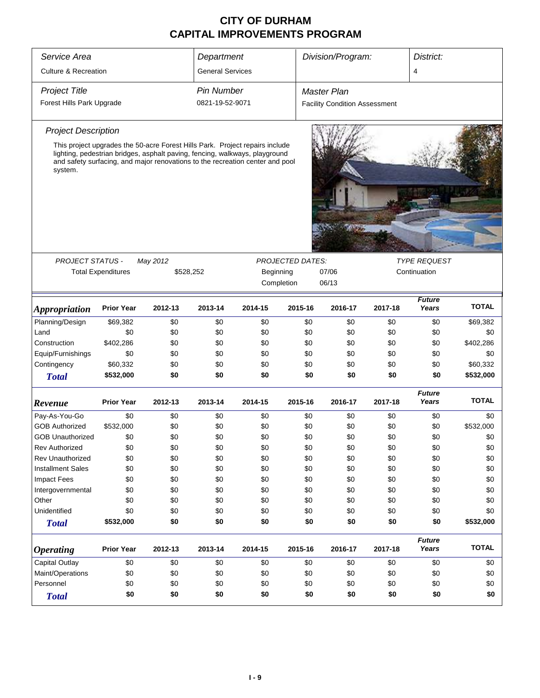| Service Area                    |                                                                                                                                                                                                                                              |           | Department              |                         |                         | Division/Program:                    |         | District:              |              |
|---------------------------------|----------------------------------------------------------------------------------------------------------------------------------------------------------------------------------------------------------------------------------------------|-----------|-------------------------|-------------------------|-------------------------|--------------------------------------|---------|------------------------|--------------|
| <b>Culture &amp; Recreation</b> |                                                                                                                                                                                                                                              |           | <b>General Services</b> |                         |                         |                                      |         | 4                      |              |
| <b>Project Title</b>            |                                                                                                                                                                                                                                              |           | <b>Pin Number</b>       |                         |                         | <b>Master Plan</b>                   |         |                        |              |
| Forest Hills Park Upgrade       |                                                                                                                                                                                                                                              |           | 0821-19-52-9071         |                         |                         | <b>Facility Condition Assessment</b> |         |                        |              |
| <b>Project Description</b>      |                                                                                                                                                                                                                                              |           |                         |                         |                         |                                      |         |                        |              |
|                                 |                                                                                                                                                                                                                                              |           |                         |                         |                         |                                      |         |                        |              |
| system.                         | This project upgrades the 50-acre Forest Hills Park. Project repairs include<br>lighting, pedestrian bridges, asphalt paving, fencing, walkways, playground<br>and safety surfacing, and major renovations to the recreation center and pool |           |                         |                         |                         |                                      |         |                        |              |
|                                 |                                                                                                                                                                                                                                              |           |                         |                         |                         |                                      |         |                        |              |
|                                 |                                                                                                                                                                                                                                              |           |                         |                         |                         |                                      |         |                        |              |
|                                 |                                                                                                                                                                                                                                              |           |                         |                         |                         |                                      |         |                        |              |
|                                 |                                                                                                                                                                                                                                              |           |                         |                         |                         |                                      |         |                        |              |
|                                 |                                                                                                                                                                                                                                              |           |                         |                         |                         |                                      |         |                        |              |
| <b>PROJECT STATUS -</b>         |                                                                                                                                                                                                                                              | May 2012  |                         |                         | <b>PROJECTED DATES:</b> |                                      |         | <b>TYPE REQUEST</b>    |              |
|                                 | <b>Total Expenditures</b>                                                                                                                                                                                                                    | \$528,252 |                         | Beginning<br>Completion |                         | 07/06<br>06/13                       |         | Continuation           |              |
|                                 |                                                                                                                                                                                                                                              |           |                         |                         |                         |                                      |         |                        |              |
| <i><b>Appropriation</b></i>     | <b>Prior Year</b>                                                                                                                                                                                                                            | 2012-13   | 2013-14                 | 2014-15                 | 2015-16                 | 2016-17                              | 2017-18 | <b>Future</b><br>Years | <b>TOTAL</b> |
| Planning/Design                 | \$69,382                                                                                                                                                                                                                                     | \$0       | \$0                     | \$0                     | \$0                     | \$0                                  | \$0     | \$0                    | \$69,382     |
| Land                            | \$0                                                                                                                                                                                                                                          | \$0       | \$0                     | \$0                     | \$0                     | \$0                                  | \$0     | \$0                    | \$0          |
| Construction                    | \$402,286                                                                                                                                                                                                                                    | \$0       | \$0                     | \$0                     | \$0                     | \$0                                  | \$0     | \$0                    | \$402,286    |
| Equip/Furnishings               | \$0                                                                                                                                                                                                                                          | \$0       | \$0                     | \$0                     | \$0                     | \$0                                  | \$0     | \$0                    | \$0          |
| Contingency                     | \$60,332                                                                                                                                                                                                                                     | \$0       | \$0                     | \$0                     | \$0                     | \$0                                  | \$0     | \$0                    | \$60,332     |
| <b>Total</b>                    | \$532,000                                                                                                                                                                                                                                    | \$0       | \$0                     | \$0                     | \$0                     | \$0                                  | \$0     | \$0                    | \$532,000    |
| Revenue                         | <b>Prior Year</b>                                                                                                                                                                                                                            | 2012-13   | 2013-14                 | 2014-15                 | 2015-16                 | 2016-17                              | 2017-18 | <b>Future</b><br>Years | <b>TOTAL</b> |
| Pay-As-You-Go                   | \$0                                                                                                                                                                                                                                          | \$0       | \$0                     | \$0                     | \$0                     | \$0                                  | \$0     | \$0                    | \$0          |
| <b>GOB Authorized</b>           | \$532,000                                                                                                                                                                                                                                    | \$0       | \$0                     | \$0                     | \$0                     | \$0                                  | \$0     | \$0                    | \$532,000    |
| <b>GOB Unauthorized</b>         | \$0                                                                                                                                                                                                                                          | \$0       | \$0                     | \$0                     | \$0                     | \$0                                  | \$0     | \$0                    | \$0          |
| <b>Rev Authorized</b>           | \$0                                                                                                                                                                                                                                          | \$0       | \$0                     | \$0                     | \$0                     | \$0                                  | \$0     | \$0                    | \$0          |
| <b>Rev Unauthorized</b>         | \$0                                                                                                                                                                                                                                          | \$0       | \$0                     | \$0                     | \$0                     | \$0                                  | \$0     | \$0                    | \$0          |
| <b>Installment Sales</b>        | \$0                                                                                                                                                                                                                                          | \$0       | \$0                     | \$0                     | \$0                     | \$0                                  | \$0     | \$0                    | \$0          |
| <b>Impact Fees</b>              | \$0                                                                                                                                                                                                                                          | \$0       | \$0                     | \$0                     | \$0                     | \$0                                  | \$0     | \$0                    | \$0          |
| Intergovernmental               | \$0                                                                                                                                                                                                                                          | \$0       | \$0                     | \$0                     | \$0                     | \$0                                  | \$0     | \$0                    | \$0          |
| Other                           | \$0                                                                                                                                                                                                                                          | \$0       | \$0                     | \$0                     | \$0                     | \$0                                  | \$0     | \$0                    | \$0          |
| Unidentified                    | \$0                                                                                                                                                                                                                                          | \$0       | \$0                     | \$0                     | \$0                     | \$0                                  | \$0     | \$0                    | \$0          |
| <b>Total</b>                    | \$532,000                                                                                                                                                                                                                                    | \$0       | \$0                     | \$0                     | \$0                     | \$0                                  | \$0     | \$0                    | \$532,000    |
| <b>Operating</b>                | <b>Prior Year</b>                                                                                                                                                                                                                            | 2012-13   | 2013-14                 | 2014-15                 | 2015-16                 | 2016-17                              | 2017-18 | <b>Future</b><br>Years | <b>TOTAL</b> |
| Capital Outlay                  | \$0                                                                                                                                                                                                                                          | \$0       | \$0                     | \$0                     | \$0                     | \$0                                  | \$0     | \$0                    | \$0          |
| Maint/Operations                | \$0                                                                                                                                                                                                                                          | \$0       | \$0                     | \$0                     | \$0                     | \$0                                  | \$0     | \$0                    | \$0          |
| Personnel                       | \$0                                                                                                                                                                                                                                          | \$0       | \$0                     | \$0                     | \$0                     | \$0                                  | \$0     | \$0                    | \$0          |
| <b>Total</b>                    | \$0                                                                                                                                                                                                                                          | \$0       | \$0                     | \$0                     | \$0                     | \$0                                  | \$0     | \$0                    | \$0          |
|                                 |                                                                                                                                                                                                                                              |           |                         |                         |                         |                                      |         |                        |              |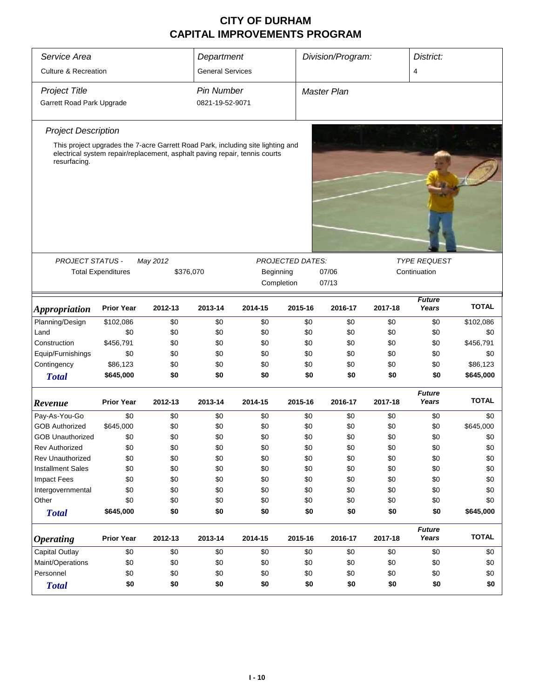| Service Area                    |                           |                                                                                 | Department              | Division/Program:<br>District: |                  |                       |            |                        |                  |  |
|---------------------------------|---------------------------|---------------------------------------------------------------------------------|-------------------------|--------------------------------|------------------|-----------------------|------------|------------------------|------------------|--|
| <b>Culture &amp; Recreation</b> |                           |                                                                                 | <b>General Services</b> |                                |                  |                       |            | 4                      |                  |  |
| <b>Project Title</b>            |                           |                                                                                 | <b>Pin Number</b>       |                                |                  | <b>Master Plan</b>    |            |                        |                  |  |
| Garrett Road Park Upgrade       |                           |                                                                                 | 0821-19-52-9071         |                                |                  |                       |            |                        |                  |  |
| <b>Project Description</b>      |                           |                                                                                 |                         |                                |                  |                       |            |                        |                  |  |
|                                 |                           | This project upgrades the 7-acre Garrett Road Park, including site lighting and |                         |                                |                  |                       |            |                        |                  |  |
| resurfacing.                    |                           | electrical system repair/replacement, asphalt paving repair, tennis courts      |                         |                                |                  |                       |            |                        |                  |  |
|                                 |                           |                                                                                 |                         |                                |                  |                       |            |                        |                  |  |
| PROJECT STATUS -                |                           | May 2012                                                                        |                         |                                | PROJECTED DATES: |                       |            | <b>TYPE REQUEST</b>    |                  |  |
|                                 | <b>Total Expenditures</b> | \$376,070                                                                       |                         | Beginning                      |                  | 07/06<br>Continuation |            |                        |                  |  |
|                                 |                           |                                                                                 |                         | Completion                     |                  | 07/13                 |            |                        |                  |  |
|                                 |                           |                                                                                 |                         |                                |                  |                       |            | <b>Future</b>          | <b>TOTAL</b>     |  |
| <i><b>Appropriation</b></i>     | <b>Prior Year</b>         | 2012-13                                                                         | 2013-14                 | 2014-15                        | 2015-16          | 2016-17               | 2017-18    | Years                  |                  |  |
| Planning/Design                 | \$102,086<br>\$0          | \$0                                                                             | \$0                     | \$0                            | \$0              | \$0                   | \$0        | \$0                    | \$102,086        |  |
| Land<br>Construction            | \$456,791                 | \$0<br>\$0                                                                      | \$0<br>\$0              | \$0<br>\$0                     | \$0<br>\$0       | \$0<br>\$0            | \$0<br>\$0 | \$0<br>\$0             | \$0<br>\$456,791 |  |
| Equip/Furnishings               | \$0                       | \$0                                                                             | \$0                     | \$0                            | \$0              | \$0                   | \$0        | \$0                    | \$0              |  |
| Contingency                     | \$86,123                  | \$0                                                                             | \$0                     | \$0                            | \$0              | \$0                   | \$0        | \$0                    | \$86,123         |  |
| <b>Total</b>                    | \$645,000                 | \$0                                                                             | \$0                     | \$0                            | \$0              | \$0                   | \$0        | \$0                    | \$645,000        |  |
|                                 |                           |                                                                                 |                         |                                |                  |                       |            |                        |                  |  |
| Revenue                         | <b>Prior Year</b>         | 2012-13                                                                         | 2013-14                 | 2014-15                        | 2015-16          | 2016-17               | 2017-18    | <b>Future</b><br>Years | <b>TOTAL</b>     |  |
| Pay-As-You-Go                   | \$0                       | \$0                                                                             | \$0                     | \$0                            | \$0              | \$0                   | \$0        | \$0                    | \$0              |  |
| <b>GOB Authorized</b>           | \$645,000                 | \$0                                                                             | \$0                     | \$0                            | \$0              | \$0                   | \$0        | \$0                    | \$645,000        |  |
| <b>GOB Unauthorized</b>         | \$0                       | \$0                                                                             | \$0                     | \$0                            | \$0              | \$0                   | \$0        | \$0                    | \$0              |  |
| <b>Rev Authorized</b>           | \$0                       | \$0                                                                             | \$0                     | \$0                            | \$0              | \$0                   | \$0        | \$0                    | \$0              |  |
| Rev Unauthorized                | \$0                       | \$0                                                                             | \$0                     | \$0                            | \$0              | \$0                   | \$0        | \$0                    | \$0              |  |
| <b>Installment Sales</b>        | \$0                       | \$0                                                                             | \$0                     | \$0                            | \$0              | \$0                   | \$0        | \$0                    | \$0              |  |
| <b>Impact Fees</b>              | \$0                       | \$0                                                                             | \$0                     | \$0                            | \$0              | \$0                   | \$0        | \$0                    | \$0              |  |
| Intergovernmental               | \$0                       | \$0                                                                             | \$0                     | \$0                            | \$0              | \$0                   | \$0        | \$0                    | \$0              |  |
| Other                           | \$0                       | \$0                                                                             | \$0                     | \$0                            | \$0              | \$0                   | \$0        | \$0                    | \$0              |  |
| <b>Total</b>                    | \$645,000                 | \$0                                                                             | \$0                     | \$0                            | \$0              | \$0                   | \$0        | \$0                    | \$645,000        |  |
| <b>Operating</b>                | <b>Prior Year</b>         | 2012-13                                                                         | 2013-14                 | 2014-15                        | 2015-16          | 2016-17               | 2017-18    | <b>Future</b><br>Years | <b>TOTAL</b>     |  |
| Capital Outlay                  | \$0                       | \$0                                                                             | \$0                     | \$0                            | \$0              | \$0                   | \$0        | \$0                    | \$0              |  |
| Maint/Operations                | \$0                       | \$0                                                                             | \$0                     | \$0                            | \$0              | \$0                   | \$0        | \$0                    | \$0              |  |
| Personnel                       | \$0                       | \$0                                                                             | \$0                     | \$0                            | \$0              | \$0                   | \$0        | \$0                    | \$0              |  |
| <b>Total</b>                    | \$0                       | \$0                                                                             | \$0                     | \$0                            | \$0              | \$0                   | \$0        | \$0                    | \$0              |  |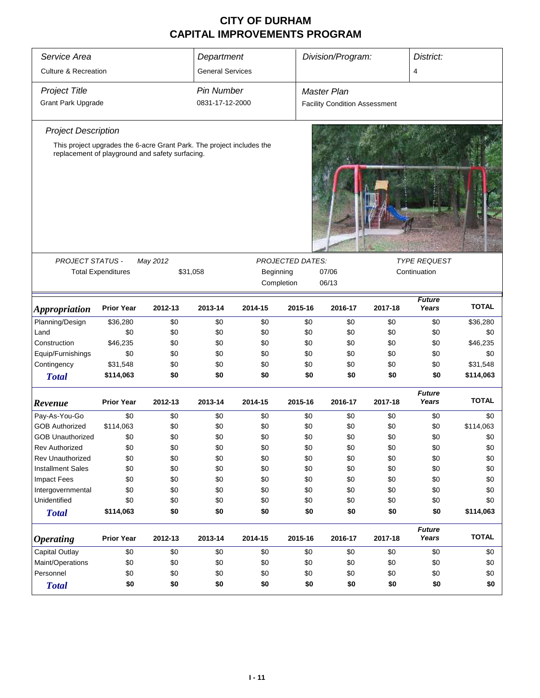| Service Area                                     |                           |                                                                       | Department              |            |                         | Division/Program:                    |            | District:                           |              |
|--------------------------------------------------|---------------------------|-----------------------------------------------------------------------|-------------------------|------------|-------------------------|--------------------------------------|------------|-------------------------------------|--------------|
| <b>Culture &amp; Recreation</b>                  |                           |                                                                       | <b>General Services</b> |            |                         |                                      |            | $\overline{4}$                      |              |
| <b>Project Title</b>                             |                           |                                                                       | <b>Pin Number</b>       |            |                         | <b>Master Plan</b>                   |            |                                     |              |
| Grant Park Upgrade                               |                           |                                                                       | 0831-17-12-2000         |            |                         | <b>Facility Condition Assessment</b> |            |                                     |              |
| <b>Project Description</b>                       |                           |                                                                       |                         |            |                         |                                      |            |                                     |              |
|                                                  |                           | This project upgrades the 6-acre Grant Park. The project includes the |                         |            |                         |                                      |            |                                     |              |
|                                                  |                           | replacement of playground and safety surfacing.                       |                         |            |                         |                                      |            |                                     |              |
|                                                  |                           |                                                                       |                         |            |                         |                                      |            |                                     |              |
|                                                  |                           |                                                                       |                         |            |                         |                                      |            |                                     |              |
| PROJECT STATUS -                                 | <b>Total Expenditures</b> | May 2012                                                              |                         |            | <b>PROJECTED DATES:</b> | 07/06                                |            | <b>TYPE REQUEST</b><br>Continuation |              |
|                                                  |                           | \$31,058                                                              |                         | Beginning  | Completion              | 06/13                                |            |                                     |              |
|                                                  |                           |                                                                       |                         |            |                         |                                      |            |                                     |              |
| <i><b>Appropriation</b></i>                      | <b>Prior Year</b>         | 2012-13                                                               | 2013-14                 | 2014-15    | 2015-16                 | 2016-17                              | 2017-18    | <b>Future</b><br>Years              | <b>TOTAL</b> |
| Planning/Design                                  | \$36,280                  | \$0                                                                   | \$0                     | \$0        | \$0                     | \$0                                  | \$0        | \$0                                 | \$36,280     |
| Land                                             | \$0                       | \$0                                                                   | \$0                     | \$0        | \$0                     | \$0                                  | \$0        | \$0                                 | \$0          |
| Construction                                     | \$46,235                  | \$0                                                                   | \$0                     | \$0        | \$0                     | \$0                                  | \$0        | \$0                                 | \$46,235     |
| Equip/Furnishings                                | \$0                       | \$0                                                                   | \$0                     | \$0        | \$0                     | \$0                                  | \$0        | \$0                                 | \$0          |
| Contingency                                      | \$31,548                  | \$0                                                                   | \$0                     | \$0        | \$0                     | \$0                                  | \$0        | \$0                                 | \$31,548     |
| <b>Total</b>                                     | \$114,063                 | \$0                                                                   | \$0                     | \$0        | \$0                     | \$0                                  | \$0        | \$0                                 | \$114,063    |
| Revenue                                          | <b>Prior Year</b>         | 2012-13                                                               | 2013-14                 | 2014-15    | 2015-16                 | 2016-17                              | 2017-18    | <b>Future</b><br>Years              | <b>TOTAL</b> |
|                                                  |                           |                                                                       |                         |            |                         |                                      |            |                                     |              |
| Pay-As-You-Go                                    | \$0                       | \$0                                                                   | \$0                     | \$0        | \$0                     | \$0                                  | \$0        | \$0                                 | \$0          |
| <b>GOB Authorized</b>                            | \$114,063                 | \$0                                                                   | \$0                     | \$0        | \$0                     | \$0                                  | \$0        | \$0                                 | \$114,063    |
| <b>GOB Unauthorized</b>                          | \$0                       | \$0                                                                   | \$0                     | \$0        | \$0                     | \$0                                  | \$0        | \$0                                 | \$0          |
| <b>Rev Authorized</b><br><b>Rev Unauthorized</b> | \$0                       | \$0                                                                   | \$0                     | \$0        | \$0                     | \$0                                  | \$0        | \$0                                 | \$0          |
|                                                  | \$0                       | \$0                                                                   | \$0                     | \$0        | \$0                     | \$0                                  | \$0        | \$0                                 | \$0          |
| <b>Installment Sales</b>                         | \$0<br>\$0                | \$0<br>\$0                                                            | \$0<br>\$0              | \$0<br>\$0 | \$0                     | \$0<br>\$0                           | \$0        | \$0                                 | \$0<br>\$0   |
| <b>Impact Fees</b><br>Intergovernmental          | \$0                       | \$0                                                                   | \$0                     | \$0        | \$0<br>\$0              | \$0                                  | \$0<br>\$0 | \$0<br>\$0                          | \$0          |
| Unidentified                                     | \$0                       | \$0                                                                   | \$0                     | \$0        | \$0                     | \$0                                  | \$0        | \$0                                 | \$0          |
| <b>Total</b>                                     | \$114,063                 | \$0                                                                   | \$0                     | \$0        | \$0                     | \$0                                  | \$0        | \$0                                 | \$114,063    |
|                                                  |                           |                                                                       |                         |            |                         |                                      |            |                                     |              |
| <i><b>Operating</b></i>                          | <b>Prior Year</b>         | 2012-13                                                               | 2013-14                 | 2014-15    | 2015-16                 | 2016-17                              | 2017-18    | <b>Future</b><br>Years              | <b>TOTAL</b> |
| Capital Outlay                                   | \$0                       | \$0                                                                   | \$0                     | \$0        | \$0                     | \$0                                  | \$0        | \$0                                 | \$0          |
| Maint/Operations                                 | \$0                       | \$0                                                                   | \$0                     | \$0        | \$0                     | \$0                                  | \$0        | \$0                                 | \$0          |
| Personnel                                        | \$0                       | \$0                                                                   | \$0                     | \$0        | \$0                     | \$0                                  | \$0        | \$0                                 | \$0          |
| <b>Total</b>                                     | \$0                       | \$0                                                                   | \$0                     | \$0        | \$0                     | \$0                                  | \$0        | \$0                                 | \$0          |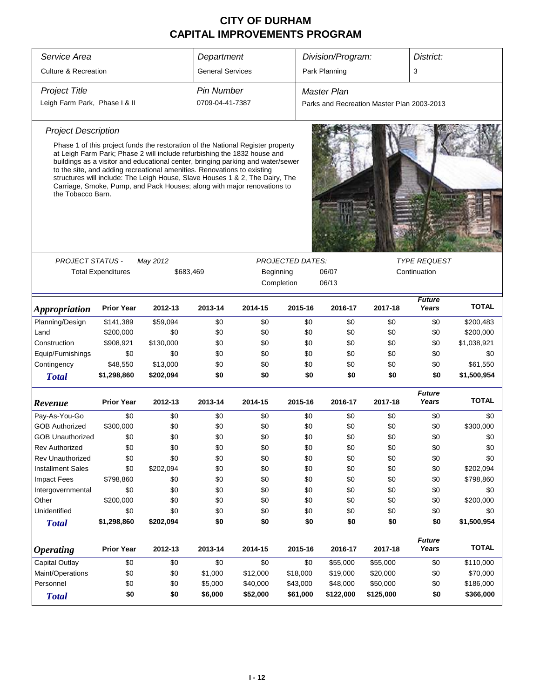| Service Area                       |                           |                                                                                                                                                                                                                                                                                                                                                                                                                                                                                      | Department              |           |                         | Division/Program:    |                                            | District:              |                       |
|------------------------------------|---------------------------|--------------------------------------------------------------------------------------------------------------------------------------------------------------------------------------------------------------------------------------------------------------------------------------------------------------------------------------------------------------------------------------------------------------------------------------------------------------------------------------|-------------------------|-----------|-------------------------|----------------------|--------------------------------------------|------------------------|-----------------------|
| <b>Culture &amp; Recreation</b>    |                           |                                                                                                                                                                                                                                                                                                                                                                                                                                                                                      | <b>General Services</b> |           |                         | Park Planning        |                                            | 3                      |                       |
| <b>Project Title</b>               |                           |                                                                                                                                                                                                                                                                                                                                                                                                                                                                                      | <b>Pin Number</b>       |           |                         | <b>Master Plan</b>   |                                            |                        |                       |
| Leigh Farm Park, Phase I & II      |                           |                                                                                                                                                                                                                                                                                                                                                                                                                                                                                      | 0709-04-41-7387         |           |                         |                      | Parks and Recreation Master Plan 2003-2013 |                        |                       |
|                                    |                           |                                                                                                                                                                                                                                                                                                                                                                                                                                                                                      |                         |           |                         |                      |                                            |                        |                       |
| <b>Project Description</b>         |                           |                                                                                                                                                                                                                                                                                                                                                                                                                                                                                      |                         |           |                         |                      |                                            |                        |                       |
| the Tobacco Barn.                  |                           | Phase 1 of this project funds the restoration of the National Register property<br>at Leigh Farm Park; Phase 2 will include refurbishing the 1832 house and<br>buildings as a visitor and educational center, bringing parking and water/sewer<br>to the site, and adding recreational amenities. Renovations to existing<br>structures will include: The Leigh House, Slave Houses 1 & 2, The Dairy, The<br>Carriage, Smoke, Pump, and Pack Houses; along with major renovations to |                         |           |                         |                      |                                            |                        |                       |
| <b>PROJECT STATUS -</b>            |                           | May 2012                                                                                                                                                                                                                                                                                                                                                                                                                                                                             |                         |           | <b>PROJECTED DATES:</b> |                      |                                            | <b>TYPE REQUEST</b>    |                       |
|                                    | <b>Total Expenditures</b> |                                                                                                                                                                                                                                                                                                                                                                                                                                                                                      | \$683,469               | Beginning |                         | 06/07                |                                            | Continuation           |                       |
|                                    |                           |                                                                                                                                                                                                                                                                                                                                                                                                                                                                                      |                         |           | Completion              | 06/13                |                                            |                        |                       |
|                                    |                           |                                                                                                                                                                                                                                                                                                                                                                                                                                                                                      |                         |           |                         |                      |                                            | <b>Future</b>          |                       |
| <i><b>Appropriation</b></i>        | <b>Prior Year</b>         | 2012-13                                                                                                                                                                                                                                                                                                                                                                                                                                                                              | 2013-14                 | 2014-15   | 2015-16                 | 2016-17              | 2017-18                                    | Years                  | <b>TOTAL</b>          |
| Planning/Design                    | \$141,389                 | \$59,094                                                                                                                                                                                                                                                                                                                                                                                                                                                                             | \$0                     | \$0       | \$0                     | \$0                  | \$0                                        | \$0                    | \$200,483             |
|                                    |                           |                                                                                                                                                                                                                                                                                                                                                                                                                                                                                      |                         |           |                         |                      |                                            |                        |                       |
| Land                               | \$200,000                 | \$0                                                                                                                                                                                                                                                                                                                                                                                                                                                                                  | \$0                     | \$0       | \$0                     | \$0                  | \$0                                        | \$0                    | \$200,000             |
| Construction                       | \$908,921                 | \$130,000                                                                                                                                                                                                                                                                                                                                                                                                                                                                            | \$0                     | \$0       | \$0                     | \$0                  | \$0                                        | \$0                    | \$1,038,921           |
| Equip/Furnishings                  | \$0                       | \$0                                                                                                                                                                                                                                                                                                                                                                                                                                                                                  | \$0                     | \$0       | \$0                     | \$0                  | \$0                                        | \$0                    | \$0                   |
| Contingency                        | \$48,550                  | \$13,000                                                                                                                                                                                                                                                                                                                                                                                                                                                                             | \$0                     | \$0       | \$0                     | \$0                  | \$0                                        | \$0                    | \$61,550              |
| <b>Total</b>                       | \$1,298,860               | \$202,094                                                                                                                                                                                                                                                                                                                                                                                                                                                                            | \$0                     | \$0       | \$0                     | \$0                  | \$0                                        | \$0                    | \$1,500,954           |
| Revenue                            | <b>Prior Year</b>         | 2012-13                                                                                                                                                                                                                                                                                                                                                                                                                                                                              | 2013-14                 | 2014-15   | 2015-16                 | 2016-17              | 2017-18                                    | <b>Future</b><br>Years | <b>TOTAL</b>          |
| Pay-As-You-Go                      | \$0                       | \$0                                                                                                                                                                                                                                                                                                                                                                                                                                                                                  | \$0                     | \$0       | \$0                     | \$0                  | \$0                                        | \$0                    | \$0                   |
| <b>GOB Authorized</b>              | \$300,000                 | \$0                                                                                                                                                                                                                                                                                                                                                                                                                                                                                  | \$0                     | \$0       | \$0                     | \$0                  | \$0                                        | \$0                    | \$300,000             |
| <b>GOB Unauthorized</b>            | \$0                       | \$0                                                                                                                                                                                                                                                                                                                                                                                                                                                                                  | \$0                     | \$0       | \$0                     | \$0                  | \$0                                        | \$0                    | \$0                   |
| Rev Authorized                     | \$0                       | \$0                                                                                                                                                                                                                                                                                                                                                                                                                                                                                  | \$0                     | \$0       | \$0                     | \$0                  | \$0                                        | \$0                    | \$0                   |
| <b>Rev Unauthorized</b>            | \$0                       | \$0                                                                                                                                                                                                                                                                                                                                                                                                                                                                                  | \$0                     | \$0       | \$0                     | \$0                  | \$0                                        | \$0                    | \$0                   |
| <b>Installment Sales</b>           | \$0                       | \$202,094                                                                                                                                                                                                                                                                                                                                                                                                                                                                            | \$0                     | \$0       | \$0                     | \$0                  | \$0                                        | \$0                    | \$202,094             |
| <b>Impact Fees</b>                 | \$798,860                 | \$0                                                                                                                                                                                                                                                                                                                                                                                                                                                                                  | \$0                     | \$0       | \$0                     | \$0                  | \$0                                        | \$0                    | \$798,860             |
| Intergovernmental                  | \$0                       | \$0                                                                                                                                                                                                                                                                                                                                                                                                                                                                                  | \$0                     | \$0       | \$0                     | \$0                  | \$0                                        | \$0                    | \$0                   |
| Other                              | \$200,000                 | \$0                                                                                                                                                                                                                                                                                                                                                                                                                                                                                  | \$0                     | \$0       | \$0                     | \$0                  | \$0                                        | \$0                    | \$200,000             |
| Unidentified                       | \$0                       | \$0                                                                                                                                                                                                                                                                                                                                                                                                                                                                                  | \$0                     | \$0       | \$0                     | \$0                  | \$0                                        | \$0                    | \$0                   |
| <b>Total</b>                       | \$1,298,860               | \$202,094                                                                                                                                                                                                                                                                                                                                                                                                                                                                            | \$0                     | \$0       | \$0                     | \$0                  | \$0                                        | \$0                    | \$1,500,954           |
| <b>Operating</b>                   | <b>Prior Year</b>         | 2012-13                                                                                                                                                                                                                                                                                                                                                                                                                                                                              | 2013-14                 | 2014-15   | 2015-16                 | 2016-17              | 2017-18                                    | <b>Future</b><br>Years | <b>TOTAL</b>          |
|                                    |                           |                                                                                                                                                                                                                                                                                                                                                                                                                                                                                      |                         | \$0       |                         |                      | \$55,000                                   |                        |                       |
| Capital Outlay<br>Maint/Operations | \$0<br>\$0                | \$0<br>\$0                                                                                                                                                                                                                                                                                                                                                                                                                                                                           | \$0<br>\$1,000          | \$12,000  | \$0<br>\$18,000         | \$55,000<br>\$19,000 | \$20,000                                   | \$0<br>\$0             | \$110,000<br>\$70,000 |
| Personnel                          | \$0                       | \$0                                                                                                                                                                                                                                                                                                                                                                                                                                                                                  | \$5,000                 | \$40,000  | \$43,000                | \$48,000             | \$50,000                                   | \$0                    | \$186,000             |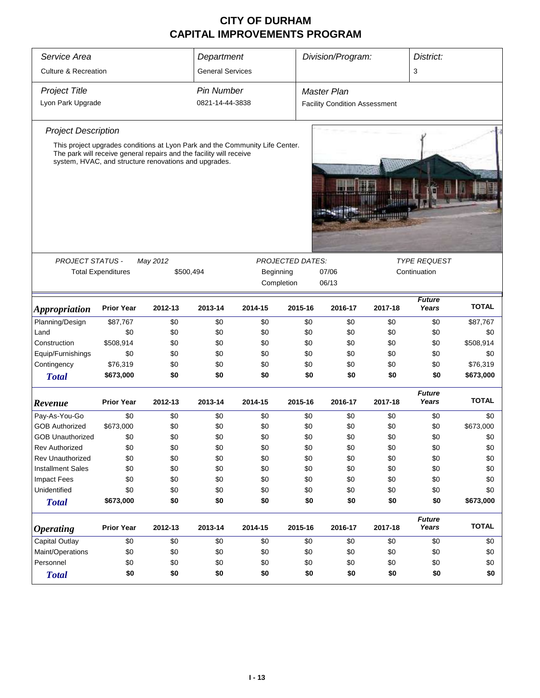| Division/Program:<br>Service Area<br>Department                   |                                                      |                                                                                                                              |                         |                                                                              | District:               |                                      |         |                        |              |
|-------------------------------------------------------------------|------------------------------------------------------|------------------------------------------------------------------------------------------------------------------------------|-------------------------|------------------------------------------------------------------------------|-------------------------|--------------------------------------|---------|------------------------|--------------|
| <b>Culture &amp; Recreation</b>                                   |                                                      |                                                                                                                              | <b>General Services</b> |                                                                              |                         |                                      |         | 3                      |              |
| <b>Project Title</b>                                              |                                                      |                                                                                                                              | <b>Pin Number</b>       |                                                                              |                         | <b>Master Plan</b>                   |         |                        |              |
| Lyon Park Upgrade                                                 |                                                      |                                                                                                                              | 0821-14-44-3838         |                                                                              |                         | <b>Facility Condition Assessment</b> |         |                        |              |
| <b>Project Description</b>                                        |                                                      |                                                                                                                              |                         |                                                                              |                         |                                      |         |                        |              |
|                                                                   |                                                      | The park will receive general repairs and the facility will receive<br>system, HVAC, and structure renovations and upgrades. |                         | This project upgrades conditions at Lyon Park and the Community Life Center. |                         |                                      |         |                        |              |
| PROJECT STATUS -                                                  |                                                      | May 2012                                                                                                                     |                         |                                                                              | <b>PROJECTED DATES:</b> |                                      |         | <b>TYPE REQUEST</b>    |              |
|                                                                   | <b>Total Expenditures</b>                            | \$500,494                                                                                                                    |                         | Beginning                                                                    | Completion              | Continuation                         |         |                        |              |
| <b>Appropriation</b>                                              | <b>Prior Year</b>                                    | 2012-13                                                                                                                      | 2013-14                 | 2014-15                                                                      | 2015-16                 | 2016-17                              | 2017-18 | <b>Future</b><br>Years | <b>TOTAL</b> |
| Planning/Design                                                   | \$87,767                                             | \$0                                                                                                                          | \$0                     | \$0                                                                          | \$0                     | \$0                                  | \$0     | \$0                    | \$87,767     |
| Land                                                              | \$0                                                  | \$0                                                                                                                          | \$0                     | \$0                                                                          | \$0                     | \$0                                  | \$0     | \$0                    | \$0          |
| Construction                                                      | \$508,914                                            | \$0                                                                                                                          | \$0                     | \$0                                                                          | \$0                     | \$0                                  | \$0     | \$0                    | \$508,914    |
| Equip/Furnishings                                                 | \$0                                                  | \$0                                                                                                                          | \$0                     | \$0                                                                          | \$0                     | \$0                                  | \$0     | \$0                    | \$0          |
| Contingency                                                       | \$76,319                                             | \$0                                                                                                                          | \$0                     | \$0                                                                          | \$0                     | \$0                                  | \$0     | \$0                    | \$76,319     |
| <b>Total</b>                                                      | \$673,000                                            | \$0                                                                                                                          | \$0                     | \$0                                                                          | \$0                     | \$0                                  | \$0     | \$0                    | \$673,000    |
| Revenue                                                           | <b>Prior Year</b>                                    | 2012-13                                                                                                                      | 2013-14                 | 2014-15                                                                      | 2015-16                 | 2016-17                              | 2017-18 | <b>Future</b><br>Years | <b>TOTAL</b> |
| Pay-As-You-Go                                                     | \$0                                                  | \$0                                                                                                                          | \$0                     | \$0                                                                          | \$0                     | \$0                                  | \$0     | \$0                    | \$0          |
| <b>GOB Authorized</b>                                             | \$673,000                                            | \$0                                                                                                                          | \$0                     | \$0                                                                          | \$0                     | \$0                                  | \$0     | \$0                    | \$673,000    |
| <b>GOB Unauthorized</b>                                           | \$0                                                  | \$0                                                                                                                          | \$0                     | \$0                                                                          | \$0                     | \$0                                  | \$0     | \$0                    | \$0          |
| <b>Rev Authorized</b>                                             | \$0                                                  | \$0                                                                                                                          | \$0                     | \$0                                                                          | \$0                     | \$0                                  | \$0     | \$0                    | \$0          |
| <b>Rev Unauthorized</b>                                           | \$0                                                  | \$0                                                                                                                          | \$0                     | \$0                                                                          | \$0                     | \$0                                  | \$0     | \$0                    | \$0          |
| <b>Installment Sales</b>                                          | \$0                                                  | \$0                                                                                                                          | \$0                     | \$0                                                                          | \$0                     | \$0                                  | \$0     | \$0                    | \$0          |
| <b>Impact Fees</b>                                                | \$0                                                  | \$0                                                                                                                          | \$0                     | \$0                                                                          | \$0                     | \$0                                  | \$0     | \$0                    | \$0          |
| Unidentified                                                      | \$0                                                  | \$0                                                                                                                          | \$0                     | \$0                                                                          | \$0                     | \$0                                  | \$0     | \$0                    | \$0          |
| <b>Total</b>                                                      | \$673,000                                            | \$0                                                                                                                          | \$0                     | \$0                                                                          | \$0                     | \$0                                  | \$0     | \$0                    | \$673,000    |
| <b>Operating</b>                                                  | <b>Prior Year</b>                                    | 2012-13                                                                                                                      | 2013-14                 | 2014-15                                                                      | 2015-16                 | 2016-17                              | 2017-18 | <b>Future</b><br>Years | <b>TOTAL</b> |
| <b>Capital Outlay</b>                                             | \$0                                                  | \$0                                                                                                                          | \$0                     | \$0                                                                          | \$0                     | \$0                                  | \$0     | \$0                    | \$0          |
| Maint/Operations                                                  | \$0                                                  | \$0                                                                                                                          | \$0                     | \$0                                                                          | \$0                     | \$0                                  | \$0     | \$0                    | \$0          |
| Personnel<br>\$0<br>\$0<br>\$0<br>\$0<br>\$0<br>\$0<br>\$0<br>\$0 |                                                      |                                                                                                                              |                         |                                                                              |                         | \$0                                  |         |                        |              |
| <b>Total</b>                                                      | \$0<br>\$0<br>\$0<br>\$0<br>\$0<br>\$0<br>\$0<br>\$0 |                                                                                                                              |                         |                                                                              |                         |                                      |         | \$0                    |              |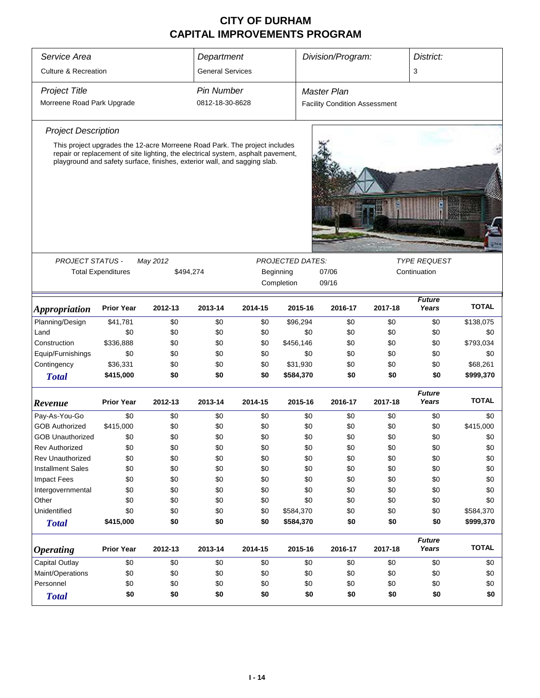| Service Area<br><b>Culture &amp; Recreation</b>     | Department<br><b>General Services</b> |                                                                                                                                                                                                                                             |                   | Division/Program: |                         | District:<br>3                       |         |                        |              |
|-----------------------------------------------------|---------------------------------------|---------------------------------------------------------------------------------------------------------------------------------------------------------------------------------------------------------------------------------------------|-------------------|-------------------|-------------------------|--------------------------------------|---------|------------------------|--------------|
| <b>Project Title</b>                                |                                       |                                                                                                                                                                                                                                             | <b>Pin Number</b> |                   |                         | <b>Master Plan</b>                   |         |                        |              |
| Morreene Road Park Upgrade                          |                                       |                                                                                                                                                                                                                                             | 0812-18-30-8628   |                   |                         | <b>Facility Condition Assessment</b> |         |                        |              |
| <b>Project Description</b>                          |                                       |                                                                                                                                                                                                                                             |                   |                   |                         |                                      |         |                        |              |
|                                                     |                                       | This project upgrades the 12-acre Morreene Road Park. The project includes<br>repair or replacement of site lighting, the electrical system, asphalt pavement,<br>playground and safety surface, finishes, exterior wall, and sagging slab. |                   |                   |                         |                                      |         |                        |              |
|                                                     |                                       |                                                                                                                                                                                                                                             |                   |                   |                         |                                      |         |                        |              |
| <b>PROJECT STATUS -</b>                             |                                       | May 2012                                                                                                                                                                                                                                    |                   |                   | <b>PROJECTED DATES:</b> |                                      |         | <b>TYPE REQUEST</b>    |              |
|                                                     | <b>Total Expenditures</b>             | \$494,274                                                                                                                                                                                                                                   |                   |                   | Beginning               | 07/06                                |         | Continuation           |              |
|                                                     |                                       |                                                                                                                                                                                                                                             |                   |                   | Completion              | 09/16                                |         |                        |              |
| <b>Appropriation</b>                                | <b>Prior Year</b>                     | 2012-13                                                                                                                                                                                                                                     | 2013-14           | 2014-15           | 2015-16                 | 2016-17                              | 2017-18 | <b>Future</b><br>Years | <b>TOTAL</b> |
| Planning/Design                                     | \$41,781                              | \$0                                                                                                                                                                                                                                         | \$0               | \$0               | \$96,294                | \$0                                  | \$0     | \$0                    | \$138,075    |
| Land                                                | \$0                                   | \$0                                                                                                                                                                                                                                         | \$0               | \$0               | \$0                     | \$0                                  | \$0     | \$0                    | \$0          |
| Construction                                        | \$336,888                             | \$0                                                                                                                                                                                                                                         | \$0               | \$0               | \$456,146               | \$0                                  | \$0     | \$0                    | \$793,034    |
| Equip/Furnishings                                   | \$0                                   | \$0                                                                                                                                                                                                                                         | \$0               | \$0               | \$0                     | \$0                                  | \$0     | \$0                    | \$0          |
| Contingency                                         | \$36,331                              | \$0                                                                                                                                                                                                                                         | \$0               | \$0               | \$31,930                | \$0                                  | \$0     | \$0                    | \$68,261     |
| <b>Total</b>                                        | \$415,000                             | \$0                                                                                                                                                                                                                                         | \$0               | \$0               | \$584,370               | \$0                                  | \$0     | \$0                    | \$999,370    |
| Revenue                                             | <b>Prior Year</b>                     | 2012-13                                                                                                                                                                                                                                     | 2013-14           | 2014-15           | 2015-16                 | 2016-17                              | 2017-18 | <b>Future</b><br>Years | <b>TOTAL</b> |
| Pay-As-You-Go                                       | \$0                                   | \$0                                                                                                                                                                                                                                         | \$0               | \$0               | \$0                     | \$0                                  | \$0     | \$0                    | \$0          |
| <b>GOB Authorized</b>                               | \$415,000                             | \$0                                                                                                                                                                                                                                         | \$0               | \$0               | \$0                     | \$0                                  | \$0     | \$0                    | \$415,000    |
| <b>GOB Unauthorized</b>                             | \$0                                   | \$0                                                                                                                                                                                                                                         | \$0               | \$0               | \$0                     | \$0                                  | \$0     | \$0                    | \$0          |
| <b>Rev Authorized</b>                               | \$0                                   | \$0                                                                                                                                                                                                                                         | \$0               | \$0               | \$0                     | \$0                                  | \$0     | \$0                    | \$0          |
| <b>Rev Unauthorized</b>                             | \$0                                   | \$0                                                                                                                                                                                                                                         | \$0               | \$0               | \$0                     | \$0                                  | \$0     | \$0                    | \$0          |
| <b>Installment Sales</b>                            | \$0                                   | \$0                                                                                                                                                                                                                                         | \$0               | \$0               | \$0                     | \$0                                  | \$0     | \$0                    | \$0          |
| <b>Impact Fees</b>                                  | \$0                                   | \$0                                                                                                                                                                                                                                         | \$0               | \$0               | \$0                     | \$0                                  | \$0     | \$0                    | \$0          |
| Intergovernmental                                   | \$0                                   | \$0                                                                                                                                                                                                                                         | \$0               | \$0               | \$0                     | \$0                                  | \$0     | \$0                    | \$0          |
| Other                                               | \$0                                   | \$0                                                                                                                                                                                                                                         | \$0               | \$0               | \$0                     | \$0                                  | \$0     | \$0                    | \$0          |
| Unidentified                                        | \$0                                   | \$0                                                                                                                                                                                                                                         | \$0               | \$0               | \$584,370               | \$0                                  | \$0     | \$0                    | \$584,370    |
| <b>Total</b>                                        | \$415,000                             | \$0                                                                                                                                                                                                                                         | \$0               | \$0               | \$584,370               | \$0                                  | \$0     | \$0                    | \$999,370    |
| <b>Operating</b>                                    | <b>Prior Year</b>                     | 2012-13                                                                                                                                                                                                                                     | 2013-14           | 2014-15           | 2015-16                 | 2016-17                              | 2017-18 | <b>Future</b><br>Years | <b>TOTAL</b> |
| <b>Capital Outlay</b>                               | \$0                                   | \$0                                                                                                                                                                                                                                         | \$0               | \$0               | \$0                     | \$0                                  | \$0     | \$0                    | \$0          |
| Maint/Operations                                    | \$0                                   | \$0                                                                                                                                                                                                                                         | \$0               | \$0               | \$0                     | \$0                                  | \$0     | \$0                    | \$0          |
| \$0<br>\$0<br>\$0<br>Personnel<br>\$0<br>\$0<br>\$0 |                                       |                                                                                                                                                                                                                                             |                   |                   | \$0                     | \$0                                  | \$0     |                        |              |
| <b>Total</b>                                        | \$0                                   | \$0                                                                                                                                                                                                                                         | \$0               | \$0               | \$0                     | \$0                                  | \$0     | \$0                    | \$0          |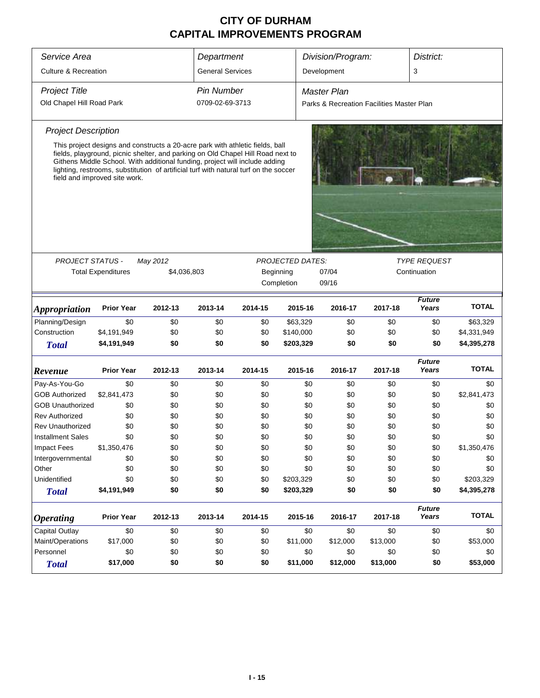| Service Area                                      |                               |                                                                                                                                                                                                                                                                                                                                         | Department<br>Division/Program:<br>District:   |         |            |                                                                 |              |                        |              |  |
|---------------------------------------------------|-------------------------------|-----------------------------------------------------------------------------------------------------------------------------------------------------------------------------------------------------------------------------------------------------------------------------------------------------------------------------------------|------------------------------------------------|---------|------------|-----------------------------------------------------------------|--------------|------------------------|--------------|--|
| <b>Culture &amp; Recreation</b>                   |                               |                                                                                                                                                                                                                                                                                                                                         | <b>General Services</b>                        |         |            | Development                                                     |              | 3                      |              |  |
| <b>Project Title</b><br>Old Chapel Hill Road Park |                               |                                                                                                                                                                                                                                                                                                                                         | <b>Pin Number</b><br>0709-02-69-3713           |         |            | <b>Master Plan</b><br>Parks & Recreation Facilities Master Plan |              |                        |              |  |
| <b>Project Description</b>                        |                               |                                                                                                                                                                                                                                                                                                                                         |                                                |         |            |                                                                 |              |                        |              |  |
|                                                   | field and improved site work. | This project designs and constructs a 20-acre park with athletic fields, ball<br>fields, playground, picnic shelter, and parking on Old Chapel Hill Road next to<br>Githens Middle School. With additional funding, project will include adding<br>lighting, restrooms, substitution of artificial turf with natural turf on the soccer |                                                |         |            |                                                                 |              |                        |              |  |
|                                                   |                               |                                                                                                                                                                                                                                                                                                                                         |                                                |         |            |                                                                 |              |                        |              |  |
| <b>PROJECT STATUS -</b>                           |                               | May 2012                                                                                                                                                                                                                                                                                                                                | <b>TYPE REQUEST</b><br><b>PROJECTED DATES:</b> |         |            |                                                                 |              |                        |              |  |
|                                                   | <b>Total Expenditures</b>     | \$4,036,803                                                                                                                                                                                                                                                                                                                             |                                                |         | Beginning  | 07/04<br>09/16                                                  | Continuation |                        |              |  |
|                                                   |                               |                                                                                                                                                                                                                                                                                                                                         |                                                |         | Completion |                                                                 |              |                        |              |  |
| <i><b>Appropriation</b></i>                       | <b>Prior Year</b>             | 2012-13                                                                                                                                                                                                                                                                                                                                 | 2013-14                                        | 2014-15 | 2015-16    | 2016-17                                                         | 2017-18      | <b>Future</b><br>Years | <b>TOTAL</b> |  |
| Planning/Design                                   | \$0                           | \$0                                                                                                                                                                                                                                                                                                                                     | \$0                                            | \$0     | \$63,329   | \$0                                                             | \$0          | \$0                    | \$63,329     |  |
| Construction                                      | \$4,191,949                   | \$0                                                                                                                                                                                                                                                                                                                                     | \$0                                            | \$0     | \$140,000  | \$0                                                             | \$0          | \$0                    | \$4,331,949  |  |
| <b>Total</b>                                      | \$4,191,949                   | \$0                                                                                                                                                                                                                                                                                                                                     | \$0                                            | \$0     | \$203,329  | \$0                                                             | \$0          | \$0                    | \$4,395,278  |  |
| Revenue                                           | <b>Prior Year</b>             | 2012-13                                                                                                                                                                                                                                                                                                                                 | 2013-14                                        | 2014-15 | 2015-16    | 2016-17                                                         | 2017-18      | <b>Future</b><br>Years | <b>TOTAL</b> |  |
| Pay-As-You-Go                                     | \$0                           | \$0                                                                                                                                                                                                                                                                                                                                     | \$0                                            | \$0     | \$0        | \$0                                                             | \$0          | \$0                    | \$0          |  |
| <b>GOB Authorized</b>                             | \$2,841,473                   | \$0                                                                                                                                                                                                                                                                                                                                     | \$0                                            | \$0     | \$0        | \$0                                                             | \$0          | \$0                    | \$2,841,473  |  |
| <b>GOB Unauthorized</b>                           | \$0                           | \$0                                                                                                                                                                                                                                                                                                                                     | \$0                                            | \$0     | \$0        | \$0                                                             | \$0          | \$0                    | \$0          |  |
| <b>Rev Authorized</b>                             | \$0                           | \$0                                                                                                                                                                                                                                                                                                                                     | \$0                                            | \$0     | \$0        | \$0                                                             | \$0          | \$0                    | \$0          |  |
| <b>Rev Unauthorized</b>                           | \$0                           | \$0                                                                                                                                                                                                                                                                                                                                     | \$0                                            | \$0     | \$0        | \$0                                                             | \$0          | \$0                    | \$0          |  |
| <b>Installment Sales</b>                          | \$0                           | \$0                                                                                                                                                                                                                                                                                                                                     | \$0                                            | \$0     | \$0        | \$0                                                             | \$0          | \$0                    | \$0          |  |
| <b>Impact Fees</b>                                | \$1,350,476                   | \$0                                                                                                                                                                                                                                                                                                                                     | \$0                                            | \$0     | \$0        | \$0                                                             | \$0          | \$0                    | \$1,350,476  |  |
| Intergovernmental                                 | \$0                           | \$0                                                                                                                                                                                                                                                                                                                                     | \$0                                            | \$0     | \$0        | \$0                                                             | \$0          | \$0                    | \$0          |  |
| Other                                             | \$0                           | \$0                                                                                                                                                                                                                                                                                                                                     | \$0                                            | \$0     | \$0        | \$0                                                             | \$0          | \$0                    | \$0          |  |
| Unidentified                                      | \$0                           | \$0                                                                                                                                                                                                                                                                                                                                     | \$0                                            | \$0     | \$203,329  | \$0                                                             | \$0          | \$0                    | \$203,329    |  |
| <b>Total</b>                                      | \$4,191,949                   | \$0                                                                                                                                                                                                                                                                                                                                     | \$0                                            | \$0     | \$203,329  | \$0                                                             | \$0          | \$0                    | \$4,395,278  |  |
| <b>Operating</b>                                  | <b>Prior Year</b>             | 2012-13                                                                                                                                                                                                                                                                                                                                 | 2013-14                                        | 2014-15 | 2015-16    | 2016-17                                                         | 2017-18      | <b>Future</b><br>Years | <b>TOTAL</b> |  |
| Capital Outlay                                    | \$0                           | \$0                                                                                                                                                                                                                                                                                                                                     | \$0                                            | \$0     | \$0        | \$0                                                             | \$0          | \$0                    | \$0          |  |
| Maint/Operations                                  | \$17,000                      | \$0                                                                                                                                                                                                                                                                                                                                     | \$0                                            | \$0     | \$11,000   | \$12,000                                                        | \$13,000     | \$0                    | \$53,000     |  |
| Personnel                                         | \$0                           | \$0                                                                                                                                                                                                                                                                                                                                     | \$0                                            | \$0     | \$0        | \$0                                                             | \$0          | \$0                    | \$0          |  |
| <b>Total</b>                                      | \$17,000                      | \$0                                                                                                                                                                                                                                                                                                                                     | \$0                                            | \$0     | \$11,000   | \$12,000                                                        | \$13,000     | \$0                    | \$53,000     |  |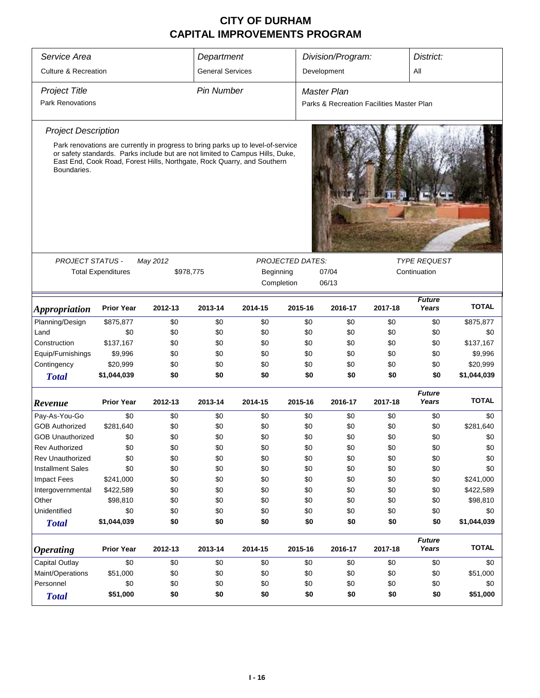| Service Area                                                                  |                           |          | Department              |                                                                                                                                                                                                                                              |                         | Division/Program:                         |                                   | District:              |              |  |  |
|-------------------------------------------------------------------------------|---------------------------|----------|-------------------------|----------------------------------------------------------------------------------------------------------------------------------------------------------------------------------------------------------------------------------------------|-------------------------|-------------------------------------------|-----------------------------------|------------------------|--------------|--|--|
| <b>Culture &amp; Recreation</b>                                               |                           |          | <b>General Services</b> |                                                                                                                                                                                                                                              |                         | Development                               |                                   | All                    |              |  |  |
| <b>Project Title</b>                                                          |                           |          | <b>Pin Number</b>       |                                                                                                                                                                                                                                              |                         | <b>Master Plan</b>                        |                                   |                        |              |  |  |
| <b>Park Renovations</b>                                                       |                           |          |                         |                                                                                                                                                                                                                                              |                         | Parks & Recreation Facilities Master Plan |                                   |                        |              |  |  |
| <b>Project Description</b>                                                    |                           |          |                         |                                                                                                                                                                                                                                              |                         |                                           |                                   |                        |              |  |  |
| Boundaries.                                                                   |                           |          |                         | Park renovations are currently in progress to bring parks up to level-of-service<br>or safety standards. Parks include but are not limited to Campus Hills, Duke,<br>East End, Cook Road, Forest Hills, Northgate, Rock Quarry, and Southern |                         |                                           |                                   |                        |              |  |  |
|                                                                               |                           |          |                         |                                                                                                                                                                                                                                              |                         |                                           |                                   |                        |              |  |  |
| PROJECT STATUS -                                                              |                           | May 2012 |                         |                                                                                                                                                                                                                                              | <b>PROJECTED DATES:</b> |                                           |                                   | <b>TYPE REQUEST</b>    |              |  |  |
|                                                                               | <b>Total Expenditures</b> |          | \$978,775               | Beginning<br>Completion                                                                                                                                                                                                                      |                         | 07/04<br>Continuation<br>06/13            |                                   |                        |              |  |  |
| <i><b>Appropriation</b></i>                                                   | <b>Prior Year</b>         | 2012-13  | 2013-14                 | 2014-15                                                                                                                                                                                                                                      | 2015-16                 | 2016-17                                   | <b>Future</b><br>Years<br>2017-18 |                        |              |  |  |
| Planning/Design                                                               | \$875,877                 | \$0      | \$0                     | \$0                                                                                                                                                                                                                                          | \$0                     | \$0                                       | \$0                               | \$0                    | \$875,877    |  |  |
| Land                                                                          | \$0                       | \$0      | \$0                     | \$0                                                                                                                                                                                                                                          | \$0                     | \$0                                       | \$0                               | \$0                    | \$0          |  |  |
| Construction                                                                  | \$137,167                 | \$0      | \$0                     | \$0                                                                                                                                                                                                                                          | \$0                     | \$0                                       | \$0                               | \$0                    | \$137,167    |  |  |
| Equip/Furnishings                                                             | \$9,996                   | \$0      | \$0                     | \$0                                                                                                                                                                                                                                          | \$0                     | \$0                                       | \$0                               | \$0                    | \$9,996      |  |  |
| Contingency                                                                   | \$20,999                  | \$0      | \$0                     | \$0                                                                                                                                                                                                                                          | \$0                     | \$0                                       | \$0                               | \$0                    | \$20,999     |  |  |
| <b>Total</b>                                                                  | \$1,044,039               | \$0      | \$0                     | \$0                                                                                                                                                                                                                                          | \$0                     | \$0                                       | \$0                               | \$0                    | \$1,044,039  |  |  |
| Revenue                                                                       | <b>Prior Year</b>         | 2012-13  | 2013-14                 | 2014-15                                                                                                                                                                                                                                      | 2015-16                 | 2016-17                                   | 2017-18                           | <b>Future</b><br>Years | <b>TOTAL</b> |  |  |
| Pay-As-You-Go                                                                 | \$0                       | \$0      | \$0                     | \$0                                                                                                                                                                                                                                          | \$0                     | \$0                                       | \$0                               | \$0                    | \$0          |  |  |
| <b>GOB Authorized</b>                                                         | \$281,640                 | \$0      | \$0                     | \$0                                                                                                                                                                                                                                          | \$0                     | \$0                                       | \$0                               | \$0                    | \$281,640    |  |  |
| <b>GOB Unauthorized</b>                                                       | \$0                       | \$0      | \$0                     | \$0                                                                                                                                                                                                                                          | \$0                     | \$0                                       | \$0                               | \$0                    | \$0          |  |  |
| <b>Rev Authorized</b>                                                         | \$0                       | \$0      | \$0                     | \$0                                                                                                                                                                                                                                          | \$0                     | \$0                                       | \$0                               | \$0                    | \$0          |  |  |
| Rev Unauthorized                                                              | \$0                       | \$0      | \$0                     | \$0                                                                                                                                                                                                                                          | \$0                     | \$0                                       | \$0                               | \$0                    | \$0          |  |  |
| <b>Installment Sales</b>                                                      | \$0                       | \$0      | \$0                     | \$0                                                                                                                                                                                                                                          | \$0                     | \$0                                       | \$0                               | \$0                    | \$0          |  |  |
| <b>Impact Fees</b>                                                            | \$241,000                 | \$0      | \$0                     | \$0                                                                                                                                                                                                                                          | \$0                     | \$0                                       | \$0                               | \$0                    | \$241,000    |  |  |
| Intergovernmental                                                             | \$422,589                 | \$0      | \$0                     | \$0                                                                                                                                                                                                                                          | \$0                     | \$0                                       | \$0                               | \$0                    | \$422,589    |  |  |
| Other                                                                         | \$98,810                  | \$0      | \$0                     | \$0                                                                                                                                                                                                                                          | \$0                     | \$0                                       | \$0                               | \$0                    | \$98,810     |  |  |
| Unidentified                                                                  | \$0                       | \$0      | \$0                     | \$0                                                                                                                                                                                                                                          | \$0                     | \$0                                       | \$0                               | \$0                    | \$0          |  |  |
| <b>Total</b>                                                                  | \$1,044,039               | \$0      | \$0                     | \$0                                                                                                                                                                                                                                          | \$0                     | \$0                                       | \$0                               | \$0                    | \$1,044,039  |  |  |
| <b>Operating</b>                                                              | <b>Prior Year</b>         | 2012-13  | 2013-14                 | 2014-15                                                                                                                                                                                                                                      | 2015-16                 | 2016-17                                   | 2017-18                           | <b>Future</b><br>Years | <b>TOTAL</b> |  |  |
| <b>Capital Outlay</b><br>\$0<br>\$0<br>\$0<br>\$0<br>\$0<br>\$0<br>\$0<br>\$0 |                           |          |                         |                                                                                                                                                                                                                                              |                         | \$0                                       |                                   |                        |              |  |  |
| Maint/Operations                                                              | \$51,000                  | \$0      | \$0                     | \$0                                                                                                                                                                                                                                          | \$0                     | \$0                                       | \$0                               | \$0                    | \$51,000     |  |  |
| Personnel                                                                     | \$0                       | \$0      | \$0                     | \$0                                                                                                                                                                                                                                          | \$0                     | \$0                                       | \$0                               | \$0                    | \$0          |  |  |
| \$51,000<br>\$0<br>\$0<br>\$0<br>\$0<br>\$0<br>\$0<br>\$0<br><b>Total</b>     |                           |          |                         |                                                                                                                                                                                                                                              |                         |                                           | \$51,000                          |                        |              |  |  |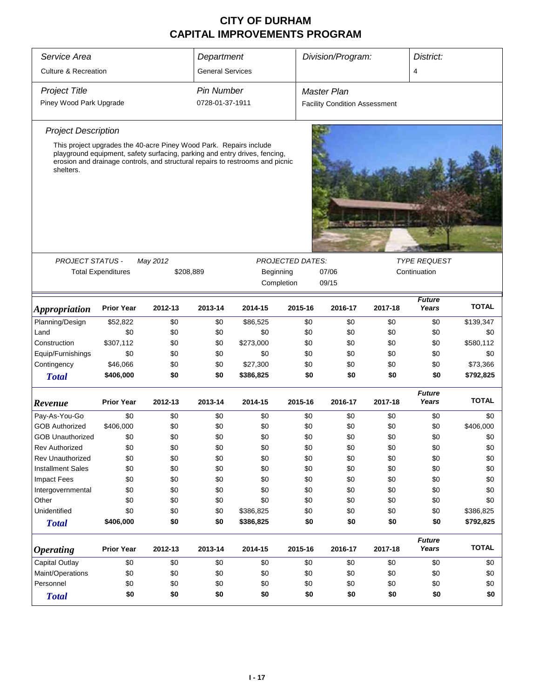| Service Area<br>Department                                           |                                                                                                                                                       |         |                         |                                                                                                                                                             |         | Division/Program:                    |                                     | District:              |              |
|----------------------------------------------------------------------|-------------------------------------------------------------------------------------------------------------------------------------------------------|---------|-------------------------|-------------------------------------------------------------------------------------------------------------------------------------------------------------|---------|--------------------------------------|-------------------------------------|------------------------|--------------|
| <b>Culture &amp; Recreation</b>                                      |                                                                                                                                                       |         | <b>General Services</b> |                                                                                                                                                             |         |                                      |                                     | 4                      |              |
| <b>Project Title</b>                                                 |                                                                                                                                                       |         | <b>Pin Number</b>       |                                                                                                                                                             |         | <b>Master Plan</b>                   |                                     |                        |              |
| Piney Wood Park Upgrade                                              |                                                                                                                                                       |         | 0728-01-37-1911         |                                                                                                                                                             |         | <b>Facility Condition Assessment</b> |                                     |                        |              |
| <b>Project Description</b>                                           |                                                                                                                                                       |         |                         |                                                                                                                                                             |         |                                      |                                     |                        |              |
| shelters.                                                            | This project upgrades the 40-acre Piney Wood Park. Repairs include                                                                                    |         |                         | playground equipment, safety surfacing, parking and entry drives, fencing,<br>erosion and drainage controls, and structural repairs to restrooms and picnic |         |                                      |                                     |                        |              |
|                                                                      |                                                                                                                                                       |         |                         |                                                                                                                                                             |         |                                      |                                     |                        |              |
|                                                                      | <b>PROJECT STATUS -</b><br>May 2012<br><b>PROJECTED DATES:</b><br><b>Total Expenditures</b><br>\$208,889<br>Beginning<br>07/06<br>Completion<br>09/15 |         |                         |                                                                                                                                                             |         |                                      | <b>TYPE REQUEST</b><br>Continuation |                        |              |
|                                                                      |                                                                                                                                                       |         |                         |                                                                                                                                                             |         |                                      | <b>Future</b>                       |                        |              |
| <i><b>Appropriation</b></i>                                          | <b>Prior Year</b>                                                                                                                                     | 2012-13 | 2013-14                 | 2014-15                                                                                                                                                     | 2015-16 | 2016-17                              | 2017-18                             | Years                  | <b>TOTAL</b> |
| Planning/Design                                                      | \$52,822                                                                                                                                              | \$0     | \$0                     | \$86,525                                                                                                                                                    | \$0     | \$0                                  | \$0                                 | \$0                    | \$139,347    |
| Land                                                                 | \$0                                                                                                                                                   | \$0     | \$0                     | \$0                                                                                                                                                         | \$0     | \$0                                  | \$0                                 | \$0                    | \$0          |
| Construction                                                         | \$307,112                                                                                                                                             | \$0     | \$0                     | \$273,000                                                                                                                                                   | \$0     | \$0                                  | \$0                                 | \$0                    | \$580,112    |
| Equip/Furnishings                                                    | \$0                                                                                                                                                   | \$0     | \$0                     | \$0                                                                                                                                                         | \$0     | \$0                                  | \$0                                 | \$0                    | \$0          |
| Contingency                                                          | \$46,066                                                                                                                                              | \$0     | \$0                     | \$27,300                                                                                                                                                    | \$0     | \$0                                  | \$0                                 | \$0                    | \$73,366     |
| <b>Total</b>                                                         | \$406,000                                                                                                                                             | \$0     | \$0                     | \$386,825                                                                                                                                                   | \$0     | \$0                                  | \$0                                 | \$0                    | \$792,825    |
| Revenue                                                              | <b>Prior Year</b>                                                                                                                                     | 2012-13 | 2013-14                 | 2014-15                                                                                                                                                     | 2015-16 | 2016-17                              | 2017-18                             | <b>Future</b><br>Years | <b>TOTAL</b> |
| Pay-As-You-Go                                                        | \$0                                                                                                                                                   | \$0     | \$0                     | \$0                                                                                                                                                         | \$0     | \$0                                  | \$0                                 | \$0                    | \$0          |
| <b>GOB Authorized</b>                                                | \$406,000                                                                                                                                             | \$0     | \$0                     | \$0                                                                                                                                                         | \$0     | \$0                                  | \$0                                 | \$0                    | \$406,000    |
| <b>GOB Unauthorized</b>                                              | \$0                                                                                                                                                   | \$0     | \$0                     | \$0                                                                                                                                                         | \$0     | \$0                                  | \$0                                 | \$0                    | \$0          |
| <b>Rev Authorized</b>                                                | \$0                                                                                                                                                   | \$0     | \$0                     | \$0                                                                                                                                                         | \$0     | \$0                                  | \$0                                 | \$0                    | \$0          |
| Rev Unauthorized                                                     | \$0                                                                                                                                                   | \$0     | \$0                     | \$0                                                                                                                                                         | \$0     | \$0                                  | \$0                                 | \$0                    | \$0          |
| <b>Installment Sales</b>                                             | \$0                                                                                                                                                   | \$0     | \$0                     | \$0                                                                                                                                                         | \$0     | \$0                                  | \$0                                 | \$0                    | \$0          |
| <b>Impact Fees</b>                                                   | \$0                                                                                                                                                   | \$0     | \$0                     | \$0                                                                                                                                                         | \$0     | \$0                                  | \$0                                 | \$0                    | \$0          |
| Intergovernmental                                                    | \$0                                                                                                                                                   | \$0     | \$0                     | \$0                                                                                                                                                         | \$0     | \$0                                  | \$0                                 | \$0                    | \$0          |
| Other                                                                | \$0                                                                                                                                                   | \$0     | \$0                     | \$0                                                                                                                                                         | \$0     | \$0                                  | \$0                                 | \$0                    | \$0          |
| Unidentified                                                         | \$0                                                                                                                                                   | \$0     | \$0                     | \$386,825                                                                                                                                                   | \$0     | \$0                                  | \$0                                 | \$0                    | \$386,825    |
| <b>Total</b>                                                         | \$406,000                                                                                                                                             | \$0     | \$0                     | \$386,825                                                                                                                                                   | \$0     | \$0                                  | \$0                                 | \$0                    | \$792,825    |
| <i><b>Operating</b></i>                                              | <b>Prior Year</b>                                                                                                                                     | 2012-13 | 2013-14                 | 2014-15                                                                                                                                                     | 2015-16 | 2016-17                              | 2017-18                             | <b>Future</b><br>Years | <b>TOTAL</b> |
| <b>Capital Outlay</b>                                                | \$0                                                                                                                                                   | \$0     | \$0                     | \$0                                                                                                                                                         | \$0     | \$0                                  | \$0                                 | \$0                    | \$0          |
| Maint/Operations                                                     | \$0                                                                                                                                                   | \$0     | \$0                     | \$0                                                                                                                                                         | \$0     | \$0                                  | \$0                                 | \$0                    | \$0          |
| Personnel<br>\$0<br>\$0<br>\$0<br>\$0<br>\$0<br>\$0<br>\$0           |                                                                                                                                                       |         |                         |                                                                                                                                                             | \$0     | \$0                                  |                                     |                        |              |
| \$0<br>\$0<br>\$0<br>\$0<br>\$0<br>\$0<br>\$0<br>\$0<br><b>Total</b> |                                                                                                                                                       |         |                         |                                                                                                                                                             |         | \$0                                  |                                     |                        |              |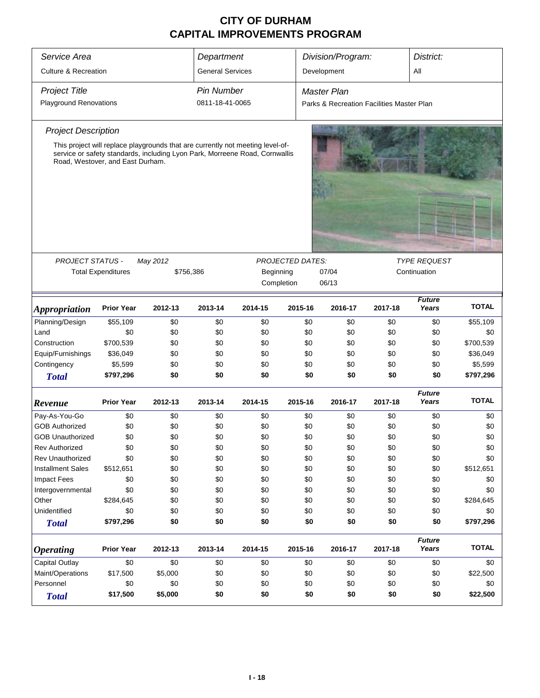| Service Area                                 | Department                                                                                                      |          |                                 | Division/Program: |                         | District:                                 |         |                        |              |  |
|----------------------------------------------|-----------------------------------------------------------------------------------------------------------------|----------|---------------------------------|-------------------|-------------------------|-------------------------------------------|---------|------------------------|--------------|--|
| <b>Culture &amp; Recreation</b>              |                                                                                                                 |          | <b>General Services</b>         |                   |                         | Development                               |         | All                    |              |  |
| <b>Project Title</b>                         |                                                                                                                 |          | <b>Pin Number</b>               |                   |                         | <b>Master Plan</b>                        |         |                        |              |  |
| <b>Playground Renovations</b>                |                                                                                                                 |          | 0811-18-41-0065                 |                   |                         | Parks & Recreation Facilities Master Plan |         |                        |              |  |
| <b>Project Description</b>                   |                                                                                                                 |          |                                 |                   |                         |                                           |         |                        |              |  |
|                                              | This project will replace playgrounds that are currently not meeting level-of-                                  |          |                                 |                   |                         |                                           |         |                        |              |  |
|                                              | service or safety standards, including Lyon Park, Morreene Road, Cornwallis<br>Road, Westover, and East Durham. |          |                                 |                   |                         |                                           |         |                        |              |  |
|                                              |                                                                                                                 |          |                                 |                   |                         |                                           |         |                        |              |  |
| PROJECT STATUS -                             |                                                                                                                 | May 2012 |                                 |                   | <b>PROJECTED DATES:</b> |                                           |         | <b>TYPE REQUEST</b>    |              |  |
|                                              | <b>Total Expenditures</b>                                                                                       |          | Beginning<br>07/04<br>\$756,386 |                   |                         |                                           |         | Continuation           |              |  |
|                                              |                                                                                                                 |          |                                 |                   | Completion              | 06/13                                     |         |                        |              |  |
| <i><b>Appropriation</b></i>                  | <b>Prior Year</b>                                                                                               | 2012-13  | 2013-14                         | 2014-15           | 2015-16                 | 2016-17                                   | 2017-18 | <b>Future</b><br>Years | <b>TOTAL</b> |  |
| Planning/Design                              | \$55,109                                                                                                        | \$0      | \$0                             | \$0               | \$0                     | \$0                                       | \$0     | \$0                    | \$55,109     |  |
| Land                                         | \$0                                                                                                             | \$0      | \$0                             | \$0               | \$0                     | \$0                                       | \$0     | \$0                    | \$0          |  |
| Construction                                 | \$700,539                                                                                                       | \$0      | \$0                             | \$0               | \$0                     | \$0                                       | \$0     | \$0                    | \$700,539    |  |
| Equip/Furnishings                            | \$36,049                                                                                                        | \$0      | \$0                             | \$0               | \$0                     | \$0                                       | \$0     | \$0                    | \$36,049     |  |
| Contingency                                  | \$5,599                                                                                                         | \$0      | \$0                             | \$0               | \$0                     | \$0                                       | \$0     | \$0                    | \$5,599      |  |
| <b>Total</b>                                 | \$797,296                                                                                                       | \$0      | \$0                             | \$0               | \$0                     | \$0                                       | \$0     | \$0                    | \$797,296    |  |
| Revenue                                      | <b>Prior Year</b>                                                                                               | 2012-13  | 2013-14                         | 2014-15           | 2015-16                 | 2016-17                                   | 2017-18 | <b>Future</b><br>Years | <b>TOTAL</b> |  |
| Pay-As-You-Go                                | \$0                                                                                                             | \$0      | \$0                             | \$0               | \$0                     | \$0                                       | \$0     | \$0                    | \$0          |  |
| <b>GOB Authorized</b>                        | \$0                                                                                                             | \$0      | \$0                             | \$0               | \$0                     | \$0                                       | \$0     | \$0                    | \$0          |  |
| <b>GOB Unauthorized</b>                      | \$0                                                                                                             | \$0      | \$0                             | \$0               | \$0                     | \$0                                       | \$0     | \$0                    | \$0          |  |
| <b>Rev Authorized</b>                        | \$0                                                                                                             | \$0      | \$0                             | \$0               | \$0                     | \$0                                       | \$0     | \$0                    | \$0          |  |
| Rev Unauthorized                             | \$0                                                                                                             | \$0      | \$0                             | \$0               | \$0                     | \$0                                       | \$0     | \$0                    | \$0          |  |
| <b>Installment Sales</b>                     | \$512,651                                                                                                       | \$0      | \$0                             | \$0               | \$0                     | \$0                                       | \$0     | \$0                    | \$512,651    |  |
| <b>Impact Fees</b>                           | \$0                                                                                                             | \$0      | \$0                             | \$0               | \$0                     | \$0                                       | \$0     | \$0                    | \$0          |  |
| Intergovernmental                            | \$0                                                                                                             | \$0      | \$0                             | \$0               | \$0                     | \$0                                       | \$0     | \$0                    | \$0          |  |
| Other                                        | \$284,645                                                                                                       | \$0      | \$0                             | \$0               | \$0                     | \$0                                       | \$0     | \$0                    | \$284,645    |  |
| Unidentified                                 | \$0                                                                                                             | \$0      | \$0                             | \$0               | \$0                     | \$0                                       | \$0     | \$0                    | \$0          |  |
| <b>Total</b>                                 | \$797,296                                                                                                       | \$0      | \$0                             | \$0               | \$0                     | \$0                                       | \$0     | \$0                    | \$797,296    |  |
| <b>Operating</b>                             | <b>Prior Year</b>                                                                                               | 2012-13  | 2013-14                         | 2014-15           | 2015-16                 | 2016-17                                   | 2017-18 | <b>Future</b><br>Years | <b>TOTAL</b> |  |
| Capital Outlay                               | \$0                                                                                                             | \$0      | \$0                             | \$0               | \$0                     | \$0                                       | \$0     | \$0                    | \$0          |  |
| Maint/Operations                             | \$17,500                                                                                                        | \$5,000  | \$0                             | \$0               | \$0                     | \$0                                       | \$0     | \$0                    | \$22,500     |  |
| Personnel<br>\$0<br>\$0<br>\$0<br>\$0<br>\$0 |                                                                                                                 |          |                                 | \$0               | \$0                     | \$0                                       | \$0     |                        |              |  |
| <b>Total</b>                                 | \$17,500                                                                                                        | \$5,000  | \$0                             | \$0               | \$0                     | \$0                                       | \$0     | \$0                    | \$22,500     |  |
|                                              |                                                                                                                 |          |                                 |                   |                         |                                           |         |                        |              |  |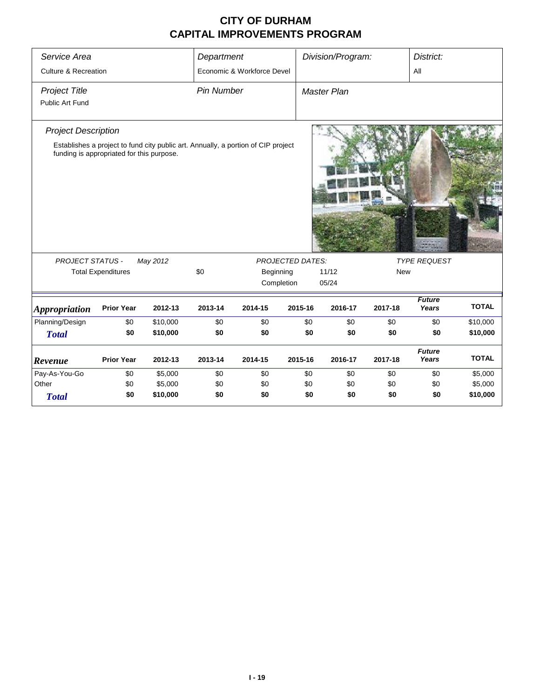| Service Area                    |                                           |                                                                                   | Department        |                            |                         | Division/Program:  |            | District:              |              |
|---------------------------------|-------------------------------------------|-----------------------------------------------------------------------------------|-------------------|----------------------------|-------------------------|--------------------|------------|------------------------|--------------|
| <b>Culture &amp; Recreation</b> |                                           |                                                                                   |                   | Economic & Workforce Devel |                         |                    |            | All                    |              |
| <b>Project Title</b>            |                                           |                                                                                   | <b>Pin Number</b> |                            |                         | <b>Master Plan</b> |            |                        |              |
| Public Art Fund                 |                                           |                                                                                   |                   |                            |                         |                    |            |                        |              |
| <b>Project Description</b>      |                                           |                                                                                   |                   |                            |                         |                    |            |                        |              |
|                                 | funding is appropriated for this purpose. | Establishes a project to fund city public art. Annually, a portion of CIP project |                   |                            |                         |                    |            |                        |              |
| <b>PROJECT STATUS -</b>         |                                           | May 2012                                                                          |                   |                            | <b>PROJECTED DATES:</b> |                    |            | <b>TYPE REQUEST</b>    |              |
|                                 | <b>Total Expenditures</b>                 |                                                                                   | \$0               | Beginning                  |                         | 11/12              | <b>New</b> |                        |              |
|                                 |                                           |                                                                                   |                   | Completion                 |                         | 05/24              |            |                        |              |
| <b>Appropriation</b>            | <b>Prior Year</b>                         | 2012-13                                                                           | 2013-14           | 2014-15                    | 2015-16                 | 2016-17            | 2017-18    | <b>Future</b><br>Years | <b>TOTAL</b> |
| Planning/Design                 | \$0                                       | \$10,000                                                                          | \$0               | \$0                        | \$0                     | \$0                | \$0        | \$0                    | \$10,000     |
| <b>Total</b>                    | \$0                                       | \$10,000                                                                          | \$0               | \$0                        | \$0                     | \$0                | \$0        | \$0                    | \$10,000     |
| Revenue                         | <b>Prior Year</b>                         | 2012-13                                                                           | 2013-14           | 2014-15                    | 2015-16                 | 2016-17            | 2017-18    | <b>Future</b><br>Years | <b>TOTAL</b> |
| Pay-As-You-Go                   | \$0                                       | \$5,000                                                                           | \$0               | \$0                        | \$0                     | \$0                | \$0        | \$0                    | \$5,000      |
| Other                           | \$0                                       | \$5,000                                                                           | \$0               | \$0                        | \$0                     | \$0                | \$0        | \$0                    | \$5,000      |
| <b>Total</b>                    | \$0                                       | \$10,000                                                                          | \$0               | \$0                        | \$0                     | \$0                | \$0        | \$0                    | \$10,000     |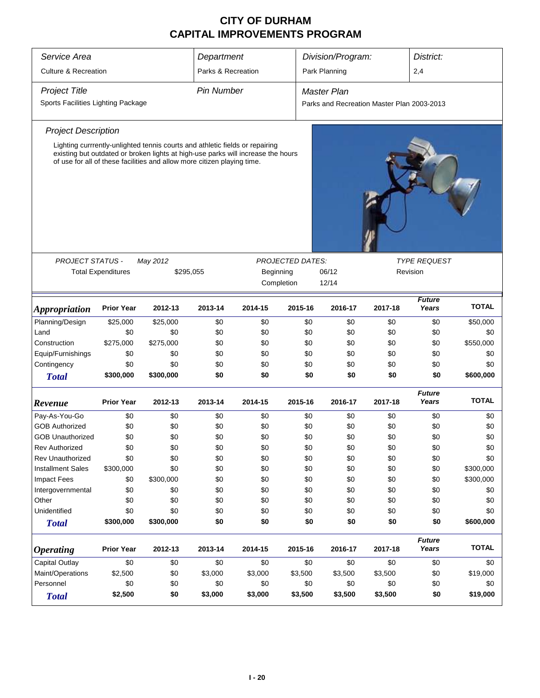| Service Area                                                                                                                    | Department                |                                                                                                                                                                  | Division/Program:  |           | District:               |                                            |          |                        |              |
|---------------------------------------------------------------------------------------------------------------------------------|---------------------------|------------------------------------------------------------------------------------------------------------------------------------------------------------------|--------------------|-----------|-------------------------|--------------------------------------------|----------|------------------------|--------------|
| <b>Culture &amp; Recreation</b>                                                                                                 |                           |                                                                                                                                                                  | Parks & Recreation |           |                         | Park Planning                              |          | 2,4                    |              |
| <b>Project Title</b>                                                                                                            |                           |                                                                                                                                                                  | <b>Pin Number</b>  |           |                         | <b>Master Plan</b>                         |          |                        |              |
| Sports Facilities Lighting Package                                                                                              |                           |                                                                                                                                                                  |                    |           |                         | Parks and Recreation Master Plan 2003-2013 |          |                        |              |
|                                                                                                                                 |                           |                                                                                                                                                                  |                    |           |                         |                                            |          |                        |              |
| <b>Project Description</b>                                                                                                      |                           |                                                                                                                                                                  |                    |           |                         |                                            |          |                        |              |
|                                                                                                                                 |                           | Lighting currrently-unlighted tennis courts and athletic fields or repairing<br>existing but outdated or broken lights at high-use parks will increase the hours |                    |           |                         |                                            |          |                        |              |
|                                                                                                                                 |                           | of use for all of these facilities and allow more citizen playing time.                                                                                          |                    |           |                         |                                            |          |                        |              |
|                                                                                                                                 |                           |                                                                                                                                                                  |                    |           |                         |                                            |          |                        |              |
| PROJECT STATUS -                                                                                                                |                           | May 2012                                                                                                                                                         |                    |           | <b>PROJECTED DATES:</b> |                                            |          | <b>TYPE REQUEST</b>    |              |
|                                                                                                                                 | <b>Total Expenditures</b> | \$295,055                                                                                                                                                        |                    | Beginning |                         | 06/12                                      |          |                        |              |
|                                                                                                                                 |                           |                                                                                                                                                                  |                    |           | Completion              | 12/14                                      |          |                        |              |
| <i><b>Appropriation</b></i>                                                                                                     | <b>Prior Year</b>         | 2012-13                                                                                                                                                          | 2013-14            | 2014-15   | 2015-16                 | 2016-17                                    | 2017-18  | <b>TOTAL</b>           |              |
| Planning/Design                                                                                                                 | \$25,000                  | \$25,000                                                                                                                                                         | \$0                | \$0       | \$0                     | \$0                                        | \$0      | \$0                    | \$50,000     |
| Land                                                                                                                            | \$0                       | \$0                                                                                                                                                              | \$0                | \$0       | \$0                     | \$0                                        | \$0      | \$0                    | \$0          |
| Construction                                                                                                                    | \$275,000                 | \$275,000                                                                                                                                                        | \$0                | \$0       | \$0                     | \$0                                        | \$0      | \$0                    | \$550,000    |
| Equip/Furnishings                                                                                                               | \$0                       | \$0                                                                                                                                                              | \$0                | \$0       | \$0                     | \$0                                        | \$0      | \$0                    | \$0          |
| Contingency                                                                                                                     | \$0                       | \$0                                                                                                                                                              | \$0                | \$0       | \$0                     | \$0                                        | \$0      | \$0                    | \$0          |
| <b>Total</b>                                                                                                                    | \$300,000                 | \$300,000                                                                                                                                                        | \$0                | \$0       | \$0                     | \$0                                        | \$0      | \$0                    | \$600,000    |
| Revenue                                                                                                                         | <b>Prior Year</b>         | 2012-13                                                                                                                                                          | 2013-14            | 2014-15   | 2015-16                 | 2016-17                                    | 2017-18  | <b>Future</b><br>Years | <b>TOTAL</b> |
| Pay-As-You-Go                                                                                                                   | \$0                       | \$0                                                                                                                                                              | \$0                | \$0       | \$0                     | \$0                                        | \$0      | \$0                    | \$0          |
| <b>GOB Authorized</b>                                                                                                           | \$0                       | \$0                                                                                                                                                              | \$0                | \$0       | \$0                     | \$0                                        | \$0      | \$0                    | \$0          |
| <b>GOB Unauthorized</b>                                                                                                         | \$0                       | \$0                                                                                                                                                              | \$0                | \$0       | \$0                     | \$0                                        | \$0      | \$0                    | \$0          |
| <b>Rev Authorized</b>                                                                                                           | \$0                       | \$0                                                                                                                                                              | \$0                | \$0       | \$0                     | \$0                                        | \$0      | \$0                    | \$0          |
| Rev Unauthorized                                                                                                                | \$0                       | \$0                                                                                                                                                              | \$0                | \$0       | \$0                     | \$0                                        | \$0      | \$0                    | \$0          |
| <b>Installment Sales</b>                                                                                                        | \$300,000                 | \$0                                                                                                                                                              | \$0                | \$0       | \$0                     | \$0                                        | \$0      | \$0                    | \$300,000    |
| <b>Impact Fees</b>                                                                                                              | \$0                       | \$300,000                                                                                                                                                        | \$0                | \$0       | \$0                     | \$0                                        | \$0      | \$0                    | \$300,000    |
| Intergovernmental                                                                                                               | \$0                       | \$0                                                                                                                                                              | \$0                | \$0       | \$0                     | \$0                                        | \$0      | \$0                    | \$0          |
| Other                                                                                                                           | \$0                       | \$0                                                                                                                                                              | \$0                | \$0       | \$0                     | \$0                                        | \$0      | \$0                    | \$0          |
| Unidentified                                                                                                                    | \$0                       | \$0                                                                                                                                                              | \$0                | \$0       | \$0                     | \$0                                        | \$0      | \$0                    | \$0          |
| <b>Total</b>                                                                                                                    | \$300,000                 | \$300,000                                                                                                                                                        | \$0                | \$0       | \$0                     | \$0                                        | \$0      | \$0                    | \$600,000    |
| <b>Operating</b>                                                                                                                | <b>Prior Year</b>         | 2012-13                                                                                                                                                          | 2013-14            | 2014-15   | 2015-16                 | 2016-17                                    | 2017-18  | <b>Future</b><br>Years | <b>TOTAL</b> |
| <b>Capital Outlay</b>                                                                                                           | \$0                       | \$0                                                                                                                                                              | \$0                | \$0       | \$0                     | \$0                                        | \$0      | \$0                    | \$0          |
| Maint/Operations                                                                                                                | \$2,500                   | \$0                                                                                                                                                              | \$3,000            | \$3,000   | \$3,500                 | \$3,500                                    | \$3,500  | \$0                    | \$19,000     |
| Personnel                                                                                                                       | \$0                       |                                                                                                                                                                  |                    | \$0       |                         |                                            | \$0      |                        | \$0          |
| \$0<br>\$0<br>\$0<br>\$0<br>\$0<br>\$2,500<br>\$0<br>\$3,000<br>\$3,000<br>\$3,500<br>\$3,500<br>\$3,500<br>\$0<br><b>Total</b> |                           |                                                                                                                                                                  |                    |           |                         |                                            | \$19,000 |                        |              |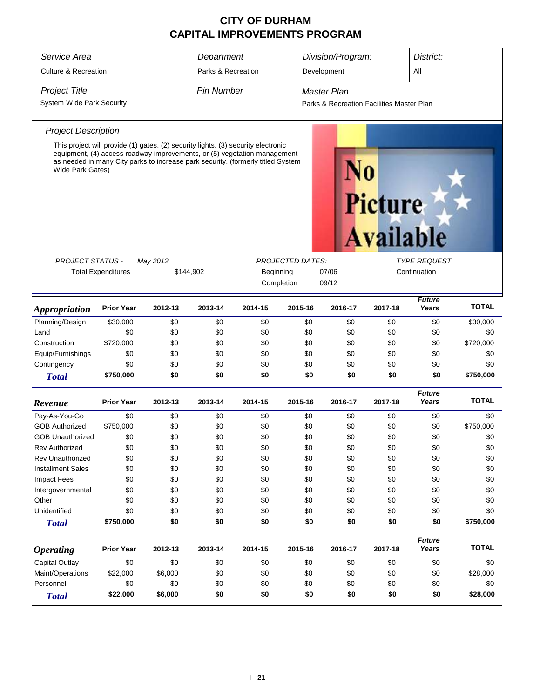| Service Area                                                                                                   | Department                                                    |           |                    | Division/Program:                                                                                                                                                                                                                                |                         | District:                                 |                                    |                        |              |
|----------------------------------------------------------------------------------------------------------------|---------------------------------------------------------------|-----------|--------------------|--------------------------------------------------------------------------------------------------------------------------------------------------------------------------------------------------------------------------------------------------|-------------------------|-------------------------------------------|------------------------------------|------------------------|--------------|
| <b>Culture &amp; Recreation</b>                                                                                |                                                               |           | Parks & Recreation |                                                                                                                                                                                                                                                  |                         | Development                               |                                    | All                    |              |
| <b>Project Title</b>                                                                                           |                                                               |           | <b>Pin Number</b>  |                                                                                                                                                                                                                                                  |                         | <b>Master Plan</b>                        |                                    |                        |              |
| <b>System Wide Park Security</b>                                                                               |                                                               |           |                    |                                                                                                                                                                                                                                                  |                         | Parks & Recreation Facilities Master Plan |                                    |                        |              |
| <b>Project Description</b>                                                                                     |                                                               |           |                    |                                                                                                                                                                                                                                                  |                         |                                           |                                    |                        |              |
| Wide Park Gates)                                                                                               |                                                               |           |                    | This project will provide (1) gates, (2) security lights, (3) security electronic<br>equipment, (4) access roadway improvements, or (5) vegetation management<br>as needed in many City parks to increase park security. (formerly titled System |                         |                                           | <b>Picture</b><br><b>Available</b> |                        |              |
| <b>PROJECT STATUS -</b>                                                                                        |                                                               | May 2012  |                    |                                                                                                                                                                                                                                                  | <b>PROJECTED DATES:</b> |                                           |                                    | <b>TYPE REQUEST</b>    |              |
|                                                                                                                | <b>Total Expenditures</b>                                     | \$144,902 |                    | Beginning                                                                                                                                                                                                                                        |                         | 07/06                                     |                                    | Continuation           |              |
|                                                                                                                |                                                               |           |                    |                                                                                                                                                                                                                                                  | Completion<br>09/12     |                                           |                                    |                        |              |
| <i><b>Appropriation</b></i>                                                                                    | <b>Prior Year</b>                                             | 2012-13   | 2013-14            | 2014-15                                                                                                                                                                                                                                          | 2015-16                 | 2016-17                                   | 2017-18                            | <b>TOTAL</b>           |              |
| Planning/Design                                                                                                | \$30,000                                                      | \$0       | \$0                | \$0                                                                                                                                                                                                                                              | \$0                     | \$0                                       | \$0                                | \$0                    | \$30,000     |
| Land                                                                                                           | \$0                                                           | \$0       | \$0                | \$0                                                                                                                                                                                                                                              | \$0                     | \$0                                       | \$0                                | \$0                    | \$0          |
| Construction                                                                                                   | \$720,000                                                     | \$0       | \$0                | \$0                                                                                                                                                                                                                                              | \$0                     | \$0                                       | \$0                                | \$0                    | \$720,000    |
| Equip/Furnishings                                                                                              | \$0                                                           | \$0       | \$0                | \$0                                                                                                                                                                                                                                              | \$0                     | \$0                                       | \$0                                | \$0                    | \$0          |
| Contingency                                                                                                    | \$0                                                           | \$0       | \$0                | \$0                                                                                                                                                                                                                                              | \$0                     | \$0                                       | \$0                                | \$0                    | \$0          |
| <b>Total</b>                                                                                                   | \$750,000                                                     | \$0       | \$0                | \$0                                                                                                                                                                                                                                              | \$0                     | \$0                                       | \$0                                | \$0                    | \$750,000    |
| Revenue                                                                                                        | <b>Prior Year</b>                                             | 2012-13   | 2013-14            | 2014-15                                                                                                                                                                                                                                          | 2015-16                 | 2016-17                                   | 2017-18                            | <b>Future</b><br>Years | <b>TOTAL</b> |
| Pay-As-You-Go                                                                                                  | \$0                                                           | \$0       | \$0                | \$0                                                                                                                                                                                                                                              | \$0                     | \$0                                       | \$0                                | \$0                    | \$0          |
| <b>GOB Authorized</b>                                                                                          | \$750,000                                                     | \$0       | \$0                | \$0                                                                                                                                                                                                                                              | \$0                     | \$0                                       | \$0                                | \$0                    | \$750,000    |
| <b>GOB Unauthorized</b>                                                                                        | \$0                                                           | \$0       | \$0                | \$0                                                                                                                                                                                                                                              | \$0                     | \$0                                       | \$0                                | \$0                    | \$0          |
| <b>Rev Authorized</b>                                                                                          | \$0                                                           | \$0       | \$0                | \$0                                                                                                                                                                                                                                              | \$0                     | \$0                                       | \$0                                | \$0                    | \$0          |
| Rev Unauthorized                                                                                               | \$0                                                           | \$0       | \$0                | \$0                                                                                                                                                                                                                                              | \$0                     | \$0                                       | \$0                                | \$0                    | \$0          |
| <b>Installment Sales</b>                                                                                       | \$0                                                           | \$0       | \$0                | \$0                                                                                                                                                                                                                                              | \$0                     | \$0                                       | \$0                                | \$0                    | \$0          |
| Impact Fees                                                                                                    | \$0                                                           | \$0       | \$0                | \$0                                                                                                                                                                                                                                              | \$0                     | \$0                                       | \$0                                | \$0                    | \$0          |
| Intergovernmental                                                                                              | \$0                                                           | \$0       | \$0                | \$0                                                                                                                                                                                                                                              | \$0                     | \$0                                       | \$0                                | \$0                    | \$0          |
| Other                                                                                                          | \$0                                                           | \$0       | \$0                | \$0                                                                                                                                                                                                                                              | \$0                     | \$0                                       | \$0                                | \$0                    | \$0          |
| Unidentified                                                                                                   | \$0                                                           | \$0       | \$0                | \$0                                                                                                                                                                                                                                              | \$0                     | \$0                                       | \$0                                | \$0                    | \$0          |
| <b>Total</b>                                                                                                   | \$750,000                                                     | \$0       | \$0                | \$0                                                                                                                                                                                                                                              | \$0                     | \$0                                       | \$0                                | \$0                    | \$750,000    |
| <b>Prior Year</b><br>2012-13<br>2013-14<br>2014-15<br>2015-16<br>2016-17<br>2017-18<br><i><b>Operating</b></i> |                                                               |           |                    |                                                                                                                                                                                                                                                  |                         | <b>Future</b><br>Years                    | <b>TOTAL</b>                       |                        |              |
| <b>Capital Outlay</b>                                                                                          | \$0                                                           | \$0       | \$0                | \$0                                                                                                                                                                                                                                              | \$0                     | \$0                                       | \$0                                | \$0                    | \$0          |
| Maint/Operations                                                                                               | \$22,000                                                      | \$6,000   | \$0                | \$0                                                                                                                                                                                                                                              | \$0                     | \$0                                       | \$0                                | \$0                    | \$28,000     |
| Personnel<br>\$0<br>\$0<br>\$0<br>\$0<br>\$0<br>\$0                                                            |                                                               |           |                    |                                                                                                                                                                                                                                                  | \$0                     | \$0                                       | \$0                                |                        |              |
| <b>Total</b>                                                                                                   | \$0<br>\$22,000<br>\$6,000<br>\$0<br>\$0<br>\$0<br>\$0<br>\$0 |           |                    |                                                                                                                                                                                                                                                  |                         |                                           | \$28,000                           |                        |              |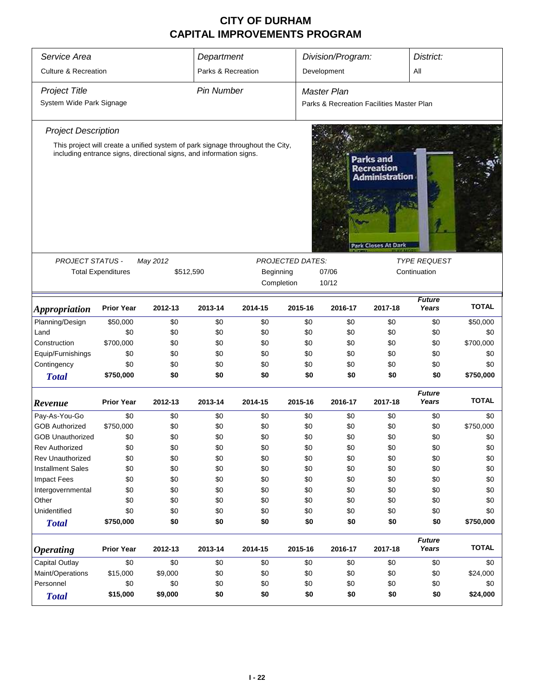| Service Area                                      | Department                                       |                                                                     |                    | Division/Program:                                                              |         | District:                                 |                                           |                        |              |
|---------------------------------------------------|--------------------------------------------------|---------------------------------------------------------------------|--------------------|--------------------------------------------------------------------------------|---------|-------------------------------------------|-------------------------------------------|------------------------|--------------|
| <b>Culture &amp; Recreation</b>                   |                                                  |                                                                     | Parks & Recreation |                                                                                |         | Development                               |                                           | All                    |              |
| <b>Project Title</b>                              |                                                  |                                                                     | <b>Pin Number</b>  |                                                                                |         | <b>Master Plan</b>                        |                                           |                        |              |
| System Wide Park Signage                          |                                                  |                                                                     |                    |                                                                                |         | Parks & Recreation Facilities Master Plan |                                           |                        |              |
| <b>Project Description</b>                        |                                                  |                                                                     |                    |                                                                                |         |                                           |                                           |                        |              |
|                                                   |                                                  |                                                                     |                    | This project will create a unified system of park signage throughout the City, |         |                                           |                                           |                        |              |
|                                                   |                                                  | including entrance signs, directional signs, and information signs. |                    |                                                                                |         |                                           | Parks and<br>Recreation<br>Administration |                        |              |
|                                                   |                                                  |                                                                     |                    |                                                                                |         |                                           | Park Closes At Dark                       |                        |              |
|                                                   | PROJECT STATUS -<br>PROJECTED DATES:<br>May 2012 |                                                                     |                    |                                                                                |         |                                           |                                           | <b>TYPE REQUEST</b>    |              |
|                                                   | <b>Total Expenditures</b>                        |                                                                     | \$512,590          | Beginning                                                                      | 07/06   |                                           |                                           | Continuation           |              |
|                                                   |                                                  |                                                                     |                    | Completion                                                                     |         | 10/12                                     |                                           |                        |              |
| <i><b>Appropriation</b></i>                       | <b>Prior Year</b>                                | 2012-13                                                             | 2013-14            | 2014-15                                                                        | 2015-16 | 2016-17                                   | 2017-18                                   | <b>Future</b><br>Years | <b>TOTAL</b> |
| Planning/Design                                   | \$50,000                                         | \$0                                                                 | \$0                | \$0                                                                            | \$0     | \$0                                       | \$0                                       | \$0                    | \$50,000     |
| Land                                              | \$0                                              | \$0                                                                 | \$0                | \$0                                                                            | \$0     | \$0                                       | \$0                                       | \$0                    | \$0          |
| Construction                                      | \$700,000                                        | \$0                                                                 | \$0                | \$0                                                                            | \$0     | \$0                                       | \$0                                       | \$0                    | \$700,000    |
| Equip/Furnishings                                 | \$0                                              | \$0                                                                 | \$0                | \$0                                                                            | \$0     | \$0                                       | \$0                                       | \$0                    | \$0          |
| Contingency                                       | \$0                                              | \$0                                                                 | \$0                | \$0                                                                            | \$0     | \$0                                       | \$0                                       | \$0                    | \$0          |
| <b>Total</b>                                      | \$750,000                                        | \$0                                                                 | \$0                | \$0                                                                            | \$0     | \$0                                       | \$0                                       | \$0                    | \$750,000    |
| Revenue                                           | <b>Prior Year</b>                                | 2012-13                                                             | 2013-14            | 2014-15                                                                        | 2015-16 | 2016-17                                   | 2017-18                                   | <b>Future</b><br>Years | <b>TOTAL</b> |
| Pay-As-You-Go                                     | \$0                                              | \$0                                                                 | \$0                | \$0                                                                            | \$0     | \$0                                       | \$0                                       | \$0                    | \$0          |
| <b>GOB Authorized</b>                             | \$750,000                                        | \$0                                                                 | \$0                | \$0                                                                            | \$0     | \$0                                       | \$0                                       | \$0                    | \$750,000    |
| <b>GOB Unauthorized</b>                           | \$0                                              | \$0                                                                 | \$0                | \$0                                                                            | \$0     | \$0                                       | \$0                                       | \$0                    | \$0          |
| <b>Rev Authorized</b>                             | \$0                                              | \$0                                                                 | \$0                | \$0                                                                            | \$0     | \$0                                       | \$0                                       | \$0                    | \$0          |
| Rev Unauthorized                                  | \$0                                              | \$0                                                                 | \$0                | \$0                                                                            | \$0     | \$0                                       | \$0                                       | \$0                    | \$0          |
| <b>Installment Sales</b>                          | \$0                                              | \$0                                                                 | \$0                | \$0                                                                            | \$0     | \$0                                       | \$0                                       | \$0                    | \$0          |
| Impact Fees                                       | \$0                                              | \$0                                                                 | \$0                | \$0                                                                            | \$0     | \$0                                       | \$0                                       | \$0                    | \$0          |
| Intergovernmental                                 | \$0                                              | \$0                                                                 | \$0                | \$0                                                                            | \$0     | \$0                                       | \$0                                       | \$0                    | \$0          |
| Other                                             | \$0                                              | \$0                                                                 | \$0                | \$0                                                                            | \$0     | \$0                                       | \$0                                       | \$0                    | \$0          |
| Unidentified                                      | \$0                                              | \$0                                                                 | \$0                | \$0                                                                            | \$0     | \$0                                       | \$0                                       | \$0                    | \$0          |
| <b>Total</b>                                      | \$750,000                                        | \$0                                                                 | \$0                | \$0                                                                            | \$0     | \$0                                       | \$0                                       | \$0                    | \$750,000    |
| <i><b>Operating</b></i>                           | <b>Prior Year</b>                                | 2012-13                                                             | 2013-14            | 2014-15                                                                        | 2015-16 | 2016-17                                   | 2017-18                                   | <b>Future</b><br>Years | <b>TOTAL</b> |
| <b>Capital Outlay</b>                             | \$0                                              | \$0                                                                 | \$0                | \$0                                                                            | \$0     | \$0                                       | \$0                                       | \$0                    | \$0          |
| Maint/Operations                                  | \$15,000                                         | \$9,000                                                             | \$0                | \$0                                                                            | \$0     | \$0                                       | \$0                                       | \$0                    | \$24,000     |
| \$0<br>\$0<br>\$0<br>Personnel<br>\$0             |                                                  |                                                                     |                    | \$0                                                                            | \$0     | \$0                                       | \$0                                       | \$0                    |              |
| \$15,000<br>\$9,000<br>\$0<br>\$0<br><b>Total</b> |                                                  |                                                                     |                    | \$0                                                                            | \$0     | \$0                                       | \$0                                       | \$24,000               |              |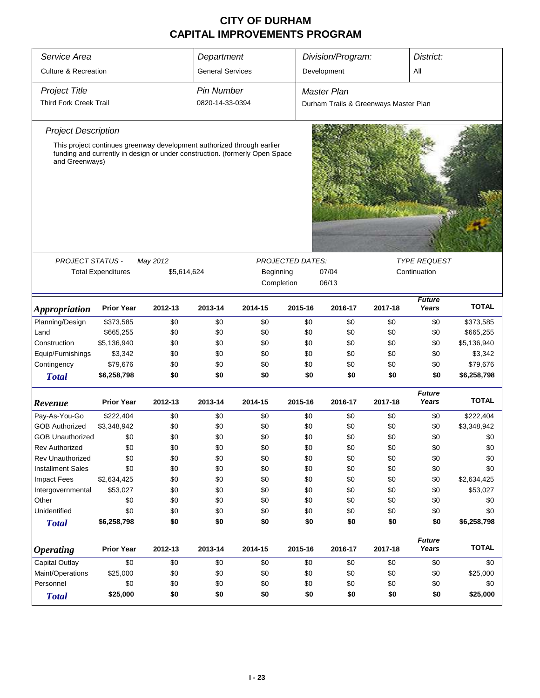| Service Area<br>Department      |                           |             |                         |                                                                             |                         | Division/Program:                     |         | District:              |              |  |
|---------------------------------|---------------------------|-------------|-------------------------|-----------------------------------------------------------------------------|-------------------------|---------------------------------------|---------|------------------------|--------------|--|
|                                 |                           |             |                         |                                                                             |                         |                                       |         |                        |              |  |
| <b>Culture &amp; Recreation</b> |                           |             | <b>General Services</b> |                                                                             |                         | Development                           |         | All                    |              |  |
| <b>Project Title</b>            |                           |             | <b>Pin Number</b>       |                                                                             |                         | <b>Master Plan</b>                    |         |                        |              |  |
| <b>Third Fork Creek Trail</b>   |                           |             | 0820-14-33-0394         |                                                                             |                         | Durham Trails & Greenways Master Plan |         |                        |              |  |
| <b>Project Description</b>      |                           |             |                         |                                                                             |                         |                                       |         |                        |              |  |
|                                 |                           |             |                         | This project continues greenway development authorized through earlier      |                         |                                       |         |                        |              |  |
| and Greenways)                  |                           |             |                         | funding and currently in design or under construction. (formerly Open Space |                         |                                       |         |                        |              |  |
|                                 |                           |             |                         |                                                                             |                         |                                       |         |                        |              |  |
| <b>PROJECT STATUS -</b>         |                           | May 2012    |                         |                                                                             | <b>PROJECTED DATES:</b> |                                       |         | <b>TYPE REQUEST</b>    |              |  |
|                                 | <b>Total Expenditures</b> | \$5,614,624 |                         | Beginning                                                                   |                         | 07/04                                 |         | Continuation           |              |  |
|                                 |                           |             |                         | Completion                                                                  |                         | 06/13                                 |         |                        |              |  |
| <b>Appropriation</b>            | <b>Prior Year</b>         | 2012-13     | 2013-14                 | 2014-15                                                                     | 2015-16                 | 2016-17                               | 2017-18 | Future<br>Years        | <b>TOTAL</b> |  |
| Planning/Design                 | \$373,585                 | \$0         | \$0                     | \$0                                                                         | \$0                     | \$0                                   | \$0     | \$0                    | \$373,585    |  |
| Land                            | \$665,255                 | \$0         | \$0                     | \$0                                                                         | \$0                     | \$0                                   | \$0     | \$0                    | \$665,255    |  |
| Construction                    | \$5,136,940               | \$0         | \$0                     | \$0                                                                         | \$0                     | \$0                                   | \$0     | \$0                    | \$5,136,940  |  |
| Equip/Furnishings               | \$3,342                   | \$0         | \$0                     | \$0                                                                         | \$0                     | \$0                                   | \$0     | \$0                    | \$3,342      |  |
| Contingency                     | \$79,676                  | \$0         | \$0                     | \$0                                                                         | \$0                     | \$0                                   | \$0     | \$0                    | \$79,676     |  |
| <b>Total</b>                    | \$6,258,798               | \$0         | \$0                     | \$0                                                                         | \$0                     | \$0                                   | \$0     | \$0                    | \$6,258,798  |  |
| Revenue                         | <b>Prior Year</b>         | 2012-13     | 2013-14                 | 2014-15                                                                     | 2015-16                 | 2016-17                               | 2017-18 | <b>Future</b><br>Years | <b>TOTAL</b> |  |
| Pay-As-You-Go                   | \$222,404                 | \$0         | \$0                     | \$0                                                                         | \$0                     | \$0                                   | \$0     | \$0                    | \$222,404    |  |
| <b>GOB Authorized</b>           | \$3,348,942               | \$0         | \$0                     | \$0                                                                         | \$0                     | \$0                                   | \$0     | \$0                    | \$3,348,942  |  |
| <b>GOB Unauthorized</b>         | \$0                       | \$0         | \$0                     | \$0                                                                         | \$0                     | \$0                                   | \$0     | \$0                    | \$0          |  |
| <b>Rev Authorized</b>           | \$0                       | \$0         | \$0                     | \$0                                                                         | \$0                     | \$0                                   | \$0     | \$0                    | \$0          |  |
| Rev Unauthorized                | \$0                       | \$0         | \$0                     | \$0                                                                         | \$0                     | \$0                                   | \$0     | \$0                    | \$0          |  |
| <b>Installment Sales</b>        | \$0                       | \$0         | \$0                     | \$0                                                                         | \$0                     | \$0                                   | \$0     | \$0                    | \$0          |  |
| <b>Impact Fees</b>              | \$2,634,425               | \$0         | \$0                     | \$0                                                                         | \$0                     | \$0                                   | \$0     | \$0                    | \$2,634,425  |  |
| Intergovernmental               | \$53,027                  | \$0         | \$0                     | \$0                                                                         | \$0                     | \$0                                   | \$0     | \$0                    | \$53,027     |  |
| Other                           | \$0                       | \$0         | \$0                     | \$0                                                                         | \$0                     | \$0                                   | \$0     | \$0                    | \$0          |  |
| Unidentified                    | \$0                       | \$0         | \$0                     | \$0                                                                         | \$0                     | \$0                                   | \$0     | \$0                    | \$0          |  |
| <b>Total</b>                    | \$6,258,798               | \$0         | \$0                     | \$0                                                                         | \$0                     | \$0                                   | \$0     | \$0                    | \$6,258,798  |  |
| <b>Operating</b>                | <b>Prior Year</b>         | 2012-13     | 2013-14                 | 2014-15                                                                     | 2015-16                 | 2016-17                               | 2017-18 | <b>Future</b><br>Years | <b>TOTAL</b> |  |
| <b>Capital Outlay</b>           | \$0                       | \$0         | \$0                     | \$0                                                                         | \$0                     | \$0                                   | \$0     | \$0                    | \$0          |  |
| Maint/Operations                | \$25,000                  | \$0         | \$0                     | \$0                                                                         | \$0                     | \$0                                   | \$0     | \$0                    | \$25,000     |  |
| Personnel                       | \$0                       | \$0         | \$0                     | \$0                                                                         | \$0                     | \$0                                   | \$0     | \$0                    | \$0          |  |
| <b>Total</b>                    | \$25,000                  | \$0         | \$0                     | \$0                                                                         | \$0                     | \$0                                   | \$0     | \$0                    | \$25,000     |  |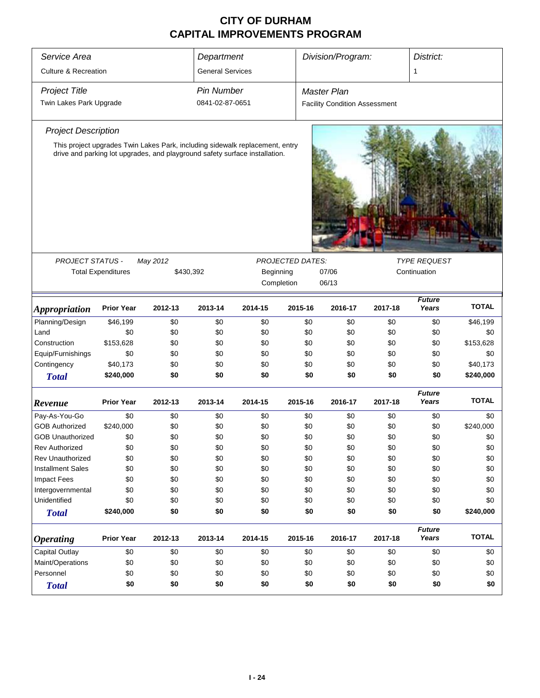| Service Area                           | Department              |                                                                              |                 | Division/Program:<br>District: |                         |                                      |         |                        |              |
|----------------------------------------|-------------------------|------------------------------------------------------------------------------|-----------------|--------------------------------|-------------------------|--------------------------------------|---------|------------------------|--------------|
| <b>Culture &amp; Recreation</b>        | <b>General Services</b> |                                                                              |                 | 1                              |                         |                                      |         |                        |              |
| <b>Project Title</b>                   | <b>Pin Number</b>       | <b>Master Plan</b>                                                           |                 |                                |                         |                                      |         |                        |              |
| Twin Lakes Park Upgrade                |                         |                                                                              | 0841-02-87-0651 |                                |                         | <b>Facility Condition Assessment</b> |         |                        |              |
| <b>Project Description</b>             |                         |                                                                              |                 |                                |                         |                                      |         |                        |              |
|                                        |                         | This project upgrades Twin Lakes Park, including sidewalk replacement, entry |                 |                                |                         |                                      |         |                        |              |
|                                        |                         | drive and parking lot upgrades, and playground safety surface installation.  |                 |                                |                         |                                      |         |                        |              |
|                                        |                         |                                                                              |                 |                                |                         |                                      |         |                        |              |
| PROJECT STATUS -                       |                         | May 2012                                                                     |                 |                                | <b>PROJECTED DATES:</b> |                                      |         | <b>TYPE REQUEST</b>    |              |
| <b>Total Expenditures</b><br>\$430,392 |                         |                                                                              |                 | Beginning                      |                         | 07/06                                |         | Continuation           |              |
|                                        |                         |                                                                              |                 | Completion                     |                         | 06/13                                |         |                        |              |
| <b>Appropriation</b>                   | <b>Prior Year</b>       | 2012-13                                                                      | 2013-14         | 2014-15                        | 2015-16                 | 2016-17                              | 2017-18 | <b>Future</b><br>Years | <b>TOTAL</b> |
| Planning/Design                        | \$46,199                | \$0                                                                          | \$0             | \$0                            | \$0                     | \$0                                  | \$0     | \$0                    | \$46,199     |
| Land                                   | \$0                     | \$0                                                                          | \$0             | \$0                            | \$0                     | \$0                                  | \$0     | \$0                    | \$0          |
| Construction                           | \$153,628               | \$0                                                                          | \$0             | \$0                            | \$0                     | \$0                                  | \$0     | \$0                    | \$153,628    |
| Equip/Furnishings                      | \$0                     | \$0                                                                          | \$0             | \$0                            | \$0                     | \$0                                  | \$0     | \$0                    | \$0          |
| Contingency                            | \$40,173                | \$0                                                                          | \$0             | \$0                            | \$0                     | \$0                                  | \$0     | \$0                    | \$40,173     |
| <b>Total</b>                           | \$240,000               | \$0                                                                          | \$0             | \$0                            | \$0                     | \$0                                  | \$0     | \$0                    | \$240,000    |
| Revenue                                | <b>Prior Year</b>       | 2012-13                                                                      | 2013-14         | 2014-15                        | 2015-16                 | 2016-17                              | 2017-18 | <b>Future</b><br>Years | <b>TOTAL</b> |
| Pay-As-You-Go                          | \$0                     | \$0                                                                          | \$0             | \$0                            | \$0                     | \$0                                  | \$0     | \$0                    | \$0          |
| <b>GOB Authorized</b>                  | \$240,000               | \$0                                                                          | \$0             | \$0                            | \$0                     | \$0                                  | \$0     | \$0                    | \$240,000    |
| <b>GOB Unauthorized</b>                | \$0                     | \$0                                                                          | \$0             | \$0                            | \$0                     | \$0                                  | \$0     | \$0                    | \$0          |
| <b>Rev Authorized</b>                  | \$0                     | \$0                                                                          | \$0             | \$0                            | \$0                     | \$0                                  | \$0     | \$0                    | \$0          |
| Rev Unauthorized                       | \$0                     | \$0                                                                          | \$0             | \$0                            | \$0                     | \$0                                  | \$0     | \$0                    | \$0          |
| <b>Installment Sales</b>               | \$0                     | \$0                                                                          | \$0             | \$0                            | \$0                     | \$0                                  | \$0     | \$0                    | \$0          |
| <b>Impact Fees</b>                     | \$0                     | \$0                                                                          | \$0             | \$0                            | \$0                     | \$0                                  | \$0     | \$0                    | \$0          |
| Intergovernmental                      | \$0                     | \$0                                                                          | \$0             | \$0                            | \$0                     | \$0                                  | \$0     | \$0                    | \$0          |
| Unidentified                           | \$0                     | \$0                                                                          | \$0             | \$0                            | \$0                     | \$0                                  | \$0     | \$0                    | \$0          |
| <b>Total</b>                           | \$240,000               | \$0                                                                          | \$0             | \$0                            | \$0                     | \$0                                  | \$0     | \$0                    | \$240,000    |
| <b>Operating</b>                       | <b>Prior Year</b>       | 2012-13                                                                      | 2013-14         | 2014-15                        | 2015-16                 | 2016-17                              | 2017-18 | <b>Future</b><br>Years | <b>TOTAL</b> |
| Capital Outlay                         | \$0                     | \$0                                                                          | \$0             | \$0                            | \$0                     | \$0                                  | \$0     | \$0                    | \$0          |
| Maint/Operations                       | \$0                     | \$0                                                                          | \$0             | \$0                            | \$0                     | \$0                                  | \$0     | \$0                    | \$0          |
| Personnel                              | \$0                     | \$0                                                                          | \$0             | \$0                            | \$0                     | \$0                                  | \$0     | \$0                    | \$0          |
| <b>Total</b>                           | \$0                     | \$0                                                                          | \$0             | \$0                            | \$0                     | \$0                                  | \$0     | \$0                    | \$0          |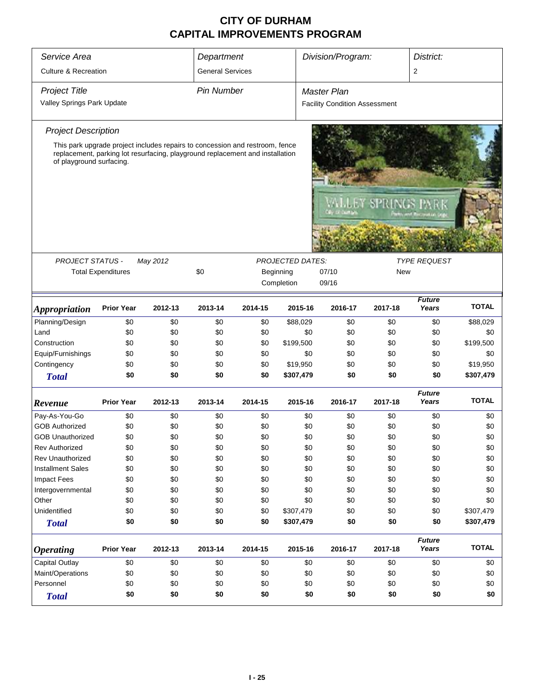| Service Area                    | Department                                                                                                                                                    |          |                   | Division/Program:<br>District:                              |            |                    |                                      |                        |              |  |  |
|---------------------------------|---------------------------------------------------------------------------------------------------------------------------------------------------------------|----------|-------------------|-------------------------------------------------------------|------------|--------------------|--------------------------------------|------------------------|--------------|--|--|
| <b>Culture &amp; Recreation</b> | <b>General Services</b>                                                                                                                                       |          |                   |                                                             |            | $\overline{2}$     |                                      |                        |              |  |  |
| <b>Project Title</b>            |                                                                                                                                                               |          | <b>Pin Number</b> |                                                             |            | <b>Master Plan</b> |                                      |                        |              |  |  |
| Valley Springs Park Update      |                                                                                                                                                               |          |                   |                                                             |            |                    | <b>Facility Condition Assessment</b> |                        |              |  |  |
|                                 |                                                                                                                                                               |          |                   |                                                             |            |                    |                                      |                        |              |  |  |
| <b>Project Description</b>      |                                                                                                                                                               |          |                   |                                                             |            |                    |                                      |                        |              |  |  |
| of playground surfacing.        | This park upgrade project includes repairs to concession and restroom, fence<br>replacement, parking lot resurfacing, playground replacement and installation |          |                   |                                                             |            |                    |                                      |                        |              |  |  |
|                                 |                                                                                                                                                               |          |                   |                                                             |            |                    |                                      |                        |              |  |  |
| <b>PROJECT STATUS -</b>         |                                                                                                                                                               | May 2012 |                   |                                                             |            |                    |                                      | <b>TYPE REQUEST</b>    |              |  |  |
|                                 | <b>Total Expenditures</b>                                                                                                                                     |          | \$0               | <b>PROJECTED DATES:</b><br>Beginning<br>07/10<br><b>New</b> |            |                    |                                      |                        |              |  |  |
|                                 |                                                                                                                                                               |          |                   |                                                             | Completion | 09/16              |                                      |                        |              |  |  |
|                                 |                                                                                                                                                               |          |                   |                                                             |            |                    |                                      | <b>Future</b>          |              |  |  |
| Appropriation                   | <b>Prior Year</b>                                                                                                                                             | 2012-13  | 2013-14           | 2014-15                                                     | 2015-16    | 2016-17            | 2017-18                              | Years                  | <b>TOTAL</b> |  |  |
| Planning/Design                 | \$0                                                                                                                                                           | \$0      | \$0               | \$0                                                         | \$88,029   |                    | \$0<br>\$0                           | \$0                    | \$88,029     |  |  |
| Land                            | \$0                                                                                                                                                           | \$0      | \$0               | \$0                                                         |            | \$0                | \$0<br>\$0                           | \$0                    | \$0          |  |  |
| Construction                    | \$0                                                                                                                                                           | \$0      | \$0               | \$0                                                         | \$199,500  |                    | \$0<br>\$0                           | \$0                    | \$199,500    |  |  |
| Equip/Furnishings               | \$0                                                                                                                                                           | \$0      | \$0               | \$0                                                         |            | \$0                | \$0<br>\$0                           | \$0                    | \$0          |  |  |
| Contingency                     | \$0                                                                                                                                                           | \$0      | \$0               | \$0                                                         | \$19,950   |                    | \$0<br>\$0                           | \$0                    | \$19,950     |  |  |
| <b>Total</b>                    | \$0                                                                                                                                                           | \$0      | \$0               | \$0                                                         | \$307,479  |                    | \$0<br>\$0                           | \$0                    | \$307,479    |  |  |
| Revenue                         | <b>Prior Year</b>                                                                                                                                             | 2012-13  | 2013-14           | 2014-15                                                     | 2015-16    | 2016-17            | 2017-18                              | <b>Future</b><br>Years | <b>TOTAL</b> |  |  |
| Pay-As-You-Go                   | \$0                                                                                                                                                           | \$0      | \$0               | \$0                                                         |            | \$0                | \$0<br>\$0                           | \$0                    | \$0          |  |  |
| <b>GOB Authorized</b>           | \$0                                                                                                                                                           | \$0      | \$0               | \$0                                                         |            | \$0                | \$0<br>\$0                           | \$0                    | \$0          |  |  |
| <b>GOB Unauthorized</b>         | \$0                                                                                                                                                           | \$0      | \$0               | \$0                                                         |            | \$0                | \$0<br>\$0                           | \$0                    | \$0          |  |  |
| <b>Rev Authorized</b>           | \$0                                                                                                                                                           | \$0      | \$0               | \$0                                                         |            | \$0                | \$0<br>\$0                           | \$0                    | \$0          |  |  |
| <b>Rev Unauthorized</b>         | \$0                                                                                                                                                           | \$0      | \$0               | \$0                                                         |            | \$0                | \$0<br>\$0                           | \$0                    | \$0          |  |  |
| <b>Installment Sales</b>        | \$0                                                                                                                                                           | \$0      | \$0               | \$0                                                         |            | \$0                | \$0<br>\$0                           | \$0                    | \$0          |  |  |
| <b>Impact Fees</b>              | \$0                                                                                                                                                           | \$0      | \$0               | \$0                                                         |            | \$0                | \$0<br>\$0                           | \$0                    | \$0          |  |  |
| Intergovernmental               | \$0                                                                                                                                                           | \$0      | \$0               | \$0                                                         |            | \$0                | \$0<br>\$0                           | \$0                    | \$0          |  |  |
| Other                           | \$0                                                                                                                                                           | \$0      | \$0               | \$0                                                         |            | \$0                | \$0<br>\$0                           | \$0                    | \$0          |  |  |
| Unidentified                    | \$0                                                                                                                                                           | \$0      | \$0               | \$0                                                         | \$307,479  |                    | \$0<br>\$0                           | \$0                    | \$307,479    |  |  |
| <b>Total</b>                    | \$0                                                                                                                                                           | \$0      | \$0               | \$0                                                         | \$307,479  |                    | \$0<br>\$0                           | \$0                    | \$307,479    |  |  |
| <b>Operating</b>                | <b>Prior Year</b>                                                                                                                                             | 2012-13  | 2013-14           | 2014-15                                                     | 2015-16    | 2016-17            | 2017-18                              | <b>Future</b><br>Years | <b>TOTAL</b> |  |  |
| <b>Capital Outlay</b>           | \$0                                                                                                                                                           | \$0      | \$0               | \$0                                                         |            | \$0                | \$0<br>\$0                           | \$0                    | \$0          |  |  |
| Maint/Operations                | \$0                                                                                                                                                           | \$0      | \$0               | \$0                                                         |            | \$0                | \$0<br>\$0                           | \$0                    | \$0          |  |  |
| Personnel                       | \$0                                                                                                                                                           | \$0      | \$0               | \$0                                                         |            | \$0                | \$0<br>\$0                           | \$0                    | \$0          |  |  |
| <b>Total</b>                    | \$0                                                                                                                                                           | \$0      | \$0               | \$0                                                         |            | \$0                | \$0<br>\$0                           | \$0                    | \$0          |  |  |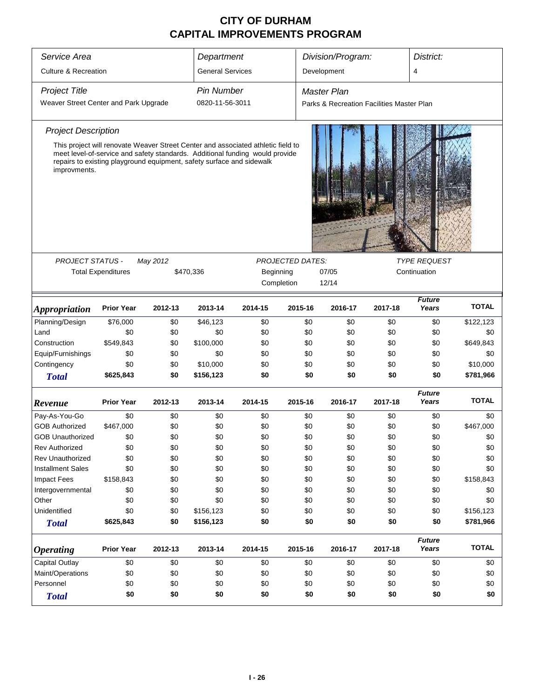| Service Area                           | Department                                                                                                                                                                                                                                |                                         |                 | Division/Program:<br>District: |                         |                                           |         |                        |              |  |  |
|----------------------------------------|-------------------------------------------------------------------------------------------------------------------------------------------------------------------------------------------------------------------------------------------|-----------------------------------------|-----------------|--------------------------------|-------------------------|-------------------------------------------|---------|------------------------|--------------|--|--|
| <b>Culture &amp; Recreation</b>        | <b>General Services</b>                                                                                                                                                                                                                   |                                         |                 | Development<br>$\overline{4}$  |                         |                                           |         |                        |              |  |  |
| <b>Project Title</b>                   |                                                                                                                                                                                                                                           | <b>Pin Number</b><br><b>Master Plan</b> |                 |                                |                         |                                           |         |                        |              |  |  |
| Weaver Street Center and Park Upgrade  |                                                                                                                                                                                                                                           |                                         | 0820-11-56-3011 |                                |                         | Parks & Recreation Facilities Master Plan |         |                        |              |  |  |
| <b>Project Description</b>             |                                                                                                                                                                                                                                           |                                         |                 |                                |                         |                                           |         |                        |              |  |  |
| improvments.                           | This project will renovate Weaver Street Center and associated athletic field to<br>meet level-of-service and safety standards. Additional funding would provide<br>repairs to existing playground equipment, safety surface and sidewalk |                                         |                 |                                |                         |                                           |         |                        |              |  |  |
| <b>PROJECT STATUS -</b>                |                                                                                                                                                                                                                                           | May 2012                                |                 |                                | <b>PROJECTED DATES:</b> |                                           |         | <b>TYPE REQUEST</b>    |              |  |  |
| <b>Total Expenditures</b><br>\$470,336 |                                                                                                                                                                                                                                           |                                         |                 | Beginning<br>07/05             |                         |                                           |         | Continuation           |              |  |  |
|                                        |                                                                                                                                                                                                                                           |                                         |                 |                                | Completion              | 12/14                                     |         |                        |              |  |  |
| <i><b>Appropriation</b></i>            | <b>Prior Year</b>                                                                                                                                                                                                                         | 2012-13                                 | 2013-14         | 2014-15                        | 2015-16                 | 2016-17                                   | 2017-18 | <b>Future</b><br>Years | <b>TOTAL</b> |  |  |
| Planning/Design                        | \$76,000                                                                                                                                                                                                                                  | \$0                                     | \$46,123        | \$0                            | \$0                     | \$0                                       | \$0     | \$0                    | \$122,123    |  |  |
| Land                                   | \$0                                                                                                                                                                                                                                       | \$0                                     | \$0             | \$0                            | \$0                     | \$0                                       | \$0     | \$0                    | \$0          |  |  |
| Construction                           | \$549,843                                                                                                                                                                                                                                 | \$0                                     | \$100,000       | \$0                            | \$0                     | \$0                                       | \$0     | \$0                    | \$649,843    |  |  |
| Equip/Furnishings                      | \$0                                                                                                                                                                                                                                       | \$0                                     | \$0             | \$0                            | \$0                     | \$0                                       | \$0     | \$0                    | \$0          |  |  |
| Contingency                            | \$0                                                                                                                                                                                                                                       | \$0                                     | \$10,000        | \$0                            | \$0                     | \$0                                       | \$0     | \$0                    | \$10,000     |  |  |
| <b>Total</b>                           | \$625,843                                                                                                                                                                                                                                 | \$0                                     | \$156,123       | \$0                            | \$0                     | \$0                                       | \$0     | \$0                    | \$781,966    |  |  |
| Revenue                                | <b>Prior Year</b>                                                                                                                                                                                                                         | 2012-13                                 | 2013-14         | 2014-15                        | 2015-16                 | 2016-17                                   | 2017-18 | <b>Future</b><br>Years | <b>TOTAL</b> |  |  |
| Pay-As-You-Go                          | \$0                                                                                                                                                                                                                                       | \$0                                     | \$0             | \$0                            | \$0                     | \$0                                       | \$0     | \$0                    | \$0          |  |  |
| <b>GOB Authorized</b>                  | \$467,000                                                                                                                                                                                                                                 | \$0                                     | \$0             | \$0                            | \$0                     | \$0                                       | \$0     | \$0                    | \$467,000    |  |  |
| <b>GOB Unauthorized</b>                | \$0                                                                                                                                                                                                                                       | \$0                                     | \$0             | \$0                            | \$0                     | \$0                                       | \$0     | \$0                    | \$0          |  |  |
| <b>Rev Authorized</b>                  | \$0                                                                                                                                                                                                                                       | \$0                                     | \$0             | \$0                            | \$0                     | \$0                                       | \$0     | \$0                    | \$0          |  |  |
| <b>Rev Unauthorized</b>                | \$0                                                                                                                                                                                                                                       | \$0                                     | \$0             | \$0                            | \$0                     | \$0                                       | \$0     | \$0                    | \$0          |  |  |
| <b>Installment Sales</b>               | \$0                                                                                                                                                                                                                                       | \$0                                     | \$0             | \$0                            | \$0                     | \$0                                       | \$0     | \$0                    | \$0          |  |  |
| <b>Impact Fees</b>                     | \$158,843                                                                                                                                                                                                                                 | \$0                                     | \$0             | \$0                            | \$0                     | \$0                                       | \$0     | \$0                    | \$158,843    |  |  |
| Intergovernmental                      | \$0                                                                                                                                                                                                                                       | \$0                                     | \$0             | \$0                            | \$0                     | \$0                                       | \$0     | \$0                    | \$0          |  |  |
| Other                                  | \$0                                                                                                                                                                                                                                       | \$0                                     | \$0             | \$0                            | \$0                     | \$0                                       | \$0     | \$0                    | \$0          |  |  |
| Unidentified                           | \$0                                                                                                                                                                                                                                       | \$0                                     | \$156,123       | \$0                            | \$0                     | \$0                                       | \$0     | \$0                    | \$156,123    |  |  |
| <b>Total</b>                           | \$625,843                                                                                                                                                                                                                                 | \$0                                     | \$156,123       | \$0                            | \$0                     | \$0                                       | \$0     | \$0                    | \$781,966    |  |  |
| <b>Operating</b>                       | <b>Prior Year</b>                                                                                                                                                                                                                         | 2012-13                                 | 2013-14         | 2014-15                        | 2015-16                 | 2016-17                                   | 2017-18 | <b>Future</b><br>Years | <b>TOTAL</b> |  |  |
| Capital Outlay                         | \$0                                                                                                                                                                                                                                       | \$0                                     | \$0             | \$0                            | \$0                     | \$0                                       | \$0     | \$0                    | \$0          |  |  |
| Maint/Operations                       | \$0                                                                                                                                                                                                                                       | \$0                                     | \$0             | \$0                            | \$0                     | \$0                                       | \$0     | \$0                    | \$0          |  |  |
| Personnel                              | \$0                                                                                                                                                                                                                                       | \$0                                     | \$0             | \$0                            | \$0                     | \$0                                       | \$0     | \$0                    | \$0          |  |  |
| <b>Total</b>                           | \$0                                                                                                                                                                                                                                       | \$0                                     | \$0             | \$0                            | \$0                     | \$0                                       | \$0     | \$0                    | \$0          |  |  |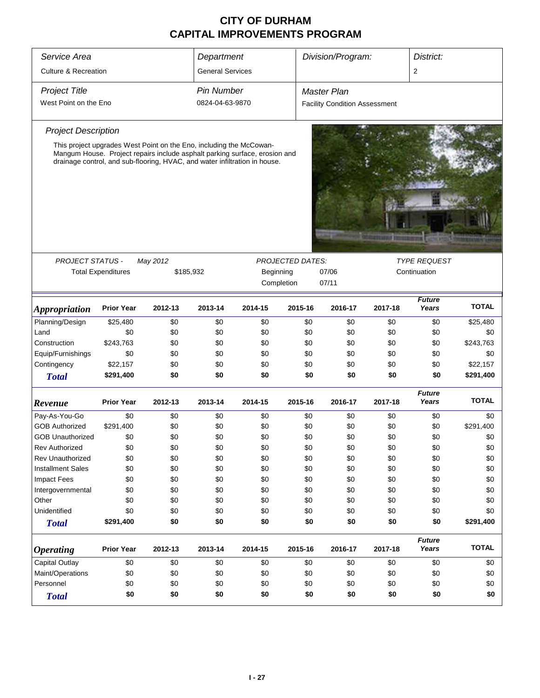| Service Area                    | Department                                                          |           |                   | Division/Program:                                                                                                                                        |                                      |                    | District:         |                        |              |  |
|---------------------------------|---------------------------------------------------------------------|-----------|-------------------|----------------------------------------------------------------------------------------------------------------------------------------------------------|--------------------------------------|--------------------|-------------------|------------------------|--------------|--|
| <b>Culture &amp; Recreation</b> | <b>General Services</b>                                             |           |                   |                                                                                                                                                          |                                      |                    |                   |                        |              |  |
| <b>Project Title</b>            |                                                                     |           | <b>Pin Number</b> |                                                                                                                                                          |                                      | <b>Master Plan</b> |                   |                        |              |  |
| West Point on the Eno           |                                                                     |           | 0824-04-63-9870   |                                                                                                                                                          | <b>Facility Condition Assessment</b> |                    |                   |                        |              |  |
| <b>Project Description</b>      |                                                                     |           |                   |                                                                                                                                                          |                                      |                    |                   |                        |              |  |
|                                 | This project upgrades West Point on the Eno, including the McCowan- |           |                   |                                                                                                                                                          |                                      |                    |                   |                        |              |  |
|                                 |                                                                     |           |                   | Mangum House. Project repairs include asphalt parking surface, erosion and<br>drainage control, and sub-flooring, HVAC, and water infiltration in house. |                                      |                    |                   |                        |              |  |
|                                 |                                                                     |           |                   |                                                                                                                                                          |                                      |                    |                   |                        |              |  |
|                                 |                                                                     |           |                   |                                                                                                                                                          |                                      |                    |                   |                        |              |  |
|                                 |                                                                     |           |                   |                                                                                                                                                          |                                      |                    |                   |                        |              |  |
|                                 |                                                                     |           |                   |                                                                                                                                                          |                                      |                    | <b>STATISTICS</b> |                        |              |  |
|                                 |                                                                     |           |                   |                                                                                                                                                          |                                      |                    |                   |                        |              |  |
| <b>PROJECT STATUS -</b>         |                                                                     | May 2012  |                   |                                                                                                                                                          | <b>PROJECTED DATES:</b>              |                    |                   | <b>TYPE REQUEST</b>    |              |  |
|                                 | <b>Total Expenditures</b>                                           | \$185,932 |                   | Beginning<br>Completion                                                                                                                                  |                                      | 07/06<br>07/11     |                   | Continuation           |              |  |
|                                 |                                                                     |           |                   |                                                                                                                                                          |                                      |                    |                   |                        |              |  |
| <b>Appropriation</b>            | <b>Prior Year</b>                                                   | 2012-13   | 2013-14           | 2014-15                                                                                                                                                  | 2015-16                              | 2016-17            | 2017-18           | <b>Future</b><br>Years | <b>TOTAL</b> |  |
| Planning/Design                 | \$25,480                                                            | \$0       | \$0               | \$0                                                                                                                                                      | \$0                                  | \$0                | \$0               | \$0                    | \$25,480     |  |
| Land                            | \$0                                                                 | \$0       | \$0               | \$0                                                                                                                                                      | \$0                                  | \$0                | \$0               | \$0                    | \$0          |  |
| Construction                    | \$243,763                                                           | \$0       | \$0               | \$0                                                                                                                                                      | \$0                                  | \$0                | \$0               | \$0                    | \$243,763    |  |
| Equip/Furnishings               | \$0                                                                 | \$0       | \$0               | \$0                                                                                                                                                      | \$0                                  | \$0                | \$0               | \$0                    | \$0          |  |
| Contingency                     | \$22,157                                                            | \$0       | \$0               | \$0                                                                                                                                                      | \$0                                  | \$0                | \$0               | \$0                    | \$22,157     |  |
| <b>Total</b>                    | \$291,400                                                           | \$0       | \$0               | \$0                                                                                                                                                      | \$0                                  | \$0                | \$0               | \$0                    | \$291,400    |  |
| Revenue                         | <b>Prior Year</b>                                                   | 2012-13   | 2013-14           | 2014-15                                                                                                                                                  | 2015-16                              | 2016-17            | 2017-18           | <b>Future</b><br>Years | <b>TOTAL</b> |  |
| Pay-As-You-Go                   | \$0                                                                 | \$0       | \$0               | \$0                                                                                                                                                      | \$0                                  | \$0                | \$0               | \$0                    | \$0          |  |
| <b>GOB Authorized</b>           | \$291,400                                                           | \$0       | \$0               | \$0                                                                                                                                                      | \$0                                  | \$0                | \$0               | \$0                    | \$291,400    |  |
| <b>GOB Unauthorized</b>         | \$0                                                                 | \$0       | \$0               | \$0                                                                                                                                                      | \$0                                  | \$0                | \$0               | \$0                    | \$0          |  |
| <b>Rev Authorized</b>           | \$0                                                                 | \$0       | \$0               | \$0                                                                                                                                                      | \$0                                  | \$0                | \$0               | \$0                    | \$0          |  |
| <b>Rev Unauthorized</b>         | \$0                                                                 | \$0       | \$0               | \$0                                                                                                                                                      | \$0                                  | \$0                | \$0               | \$0                    | \$0          |  |
| <b>Installment Sales</b>        | \$0                                                                 | \$0       | \$0               | \$0                                                                                                                                                      | \$0                                  | \$0                | \$0               | \$0                    | \$0          |  |
| <b>Impact Fees</b>              | \$0                                                                 | \$0       | \$0               | \$0                                                                                                                                                      | \$0                                  | \$0                | \$0               | \$0                    | \$0          |  |
| Intergovernmental               | \$0                                                                 | \$0       | \$0               | \$0                                                                                                                                                      | \$0                                  | \$0                | \$0               | \$0                    | \$0          |  |
| Other                           | \$0                                                                 | \$0       | \$0               | \$0                                                                                                                                                      | \$0                                  | \$0                | \$0               | \$0                    | \$0          |  |
| Unidentified                    | \$0                                                                 | \$0       | \$0               | \$0                                                                                                                                                      | \$0                                  | \$0                | \$0               | \$0                    | \$0          |  |
| <b>Total</b>                    | \$291,400                                                           | \$0       | \$0               | \$0                                                                                                                                                      | \$0                                  | \$0                | \$0               | \$0                    | \$291,400    |  |
| <b>Operating</b>                | <b>Prior Year</b>                                                   | 2012-13   | 2013-14           | 2014-15                                                                                                                                                  | 2015-16                              | 2016-17            | 2017-18           | <b>Future</b><br>Years | <b>TOTAL</b> |  |
| Capital Outlay                  | \$0                                                                 | \$0       | \$0               | \$0                                                                                                                                                      | \$0                                  | \$0                | \$0               | \$0                    | \$0          |  |
| Maint/Operations                | \$0                                                                 | \$0       | \$0               | \$0                                                                                                                                                      | \$0                                  | \$0                | \$0               | \$0                    | \$0          |  |
| Personnel                       | \$0                                                                 | \$0       | \$0               | \$0                                                                                                                                                      | \$0                                  | \$0                | \$0               | \$0                    | \$0          |  |
| <b>Total</b>                    | \$0                                                                 | \$0       | \$0               | \$0                                                                                                                                                      | \$0                                  | \$0                | \$0               | \$0                    | \$0          |  |